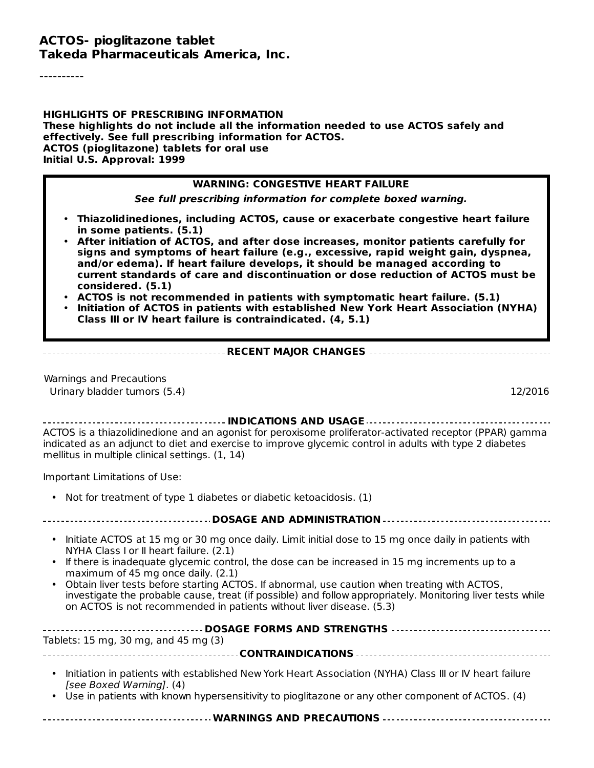----------

**HIGHLIGHTS OF PRESCRIBING INFORMATION These highlights do not include all the information needed to use ACTOS safely and effectively. See full prescribing information for ACTOS. ACTOS (pioglitazone) tablets for oral use Initial U.S. Approval: 1999**

#### **WARNING: CONGESTIVE HEART FAILURE**

**See full prescribing information for complete boxed warning.**

- **Thiazolidinediones, including ACTOS, cause or exacerbate congestive heart failure in some patients. (5.1)**
- **After initiation of ACTOS, and after dose increases, monitor patients carefully for signs and symptoms of heart failure (e.g., excessive, rapid weight gain, dyspnea, and/or edema). If heart failure develops, it should be managed according to current standards of care and discontinuation or dose reduction of ACTOS must be considered. (5.1)**
- **ACTOS is not recommended in patients with symptomatic heart failure. (5.1)**
- **Initiation of ACTOS in patients with established New York Heart Association (NYHA) Class III or IV heart failure is contraindicated. (4, 5.1)**

#### **RECENT MAJOR CHANGES**

Warnings and Precautions Urinary bladder tumors (5.4) 12/2016

#### **INDICATIONS AND USAGE** ACTOS is a thiazolidinedione and an agonist for peroxisome proliferator-activated receptor (PPAR) gamma indicated as an adjunct to diet and exercise to improve glycemic control in adults with type 2 diabetes mellitus in multiple clinical settings. (1, 14)

Important Limitations of Use:

• Not for treatment of type 1 diabetes or diabetic ketoacidosis. (1)

| • Initiate ACTOS at 15 mg or 30 mg once daily. Limit initial dose to 15 mg once daily in patients with |  |  |  |  |
|--------------------------------------------------------------------------------------------------------|--|--|--|--|

- If there is inadequate glycemic control, the dose can be increased in 15 mg increments up to a NYHA Class I or II heart failure. (2.1)
- Obtain liver tests before starting ACTOS. If abnormal, use caution when treating with ACTOS, maximum of 45 mg once daily. (2.1)
- investigate the probable cause, treat (if possible) and follow appropriately. Monitoring liver tests while on ACTOS is not recommended in patients without liver disease. (5.3)

| Tablets: 15 mg, 30 mg, and 45 mg (3)                                                                                                                                                                                                        |  |  |  |  |
|---------------------------------------------------------------------------------------------------------------------------------------------------------------------------------------------------------------------------------------------|--|--|--|--|
|                                                                                                                                                                                                                                             |  |  |  |  |
| . Initiation in patients with established New York Heart Association (NYHA) Class III or IV heart failure<br>[see Boxed Warning]. (4)<br>• Use in patients with known hypersensitivity to pioglitazone or any other component of ACTOS. (4) |  |  |  |  |
|                                                                                                                                                                                                                                             |  |  |  |  |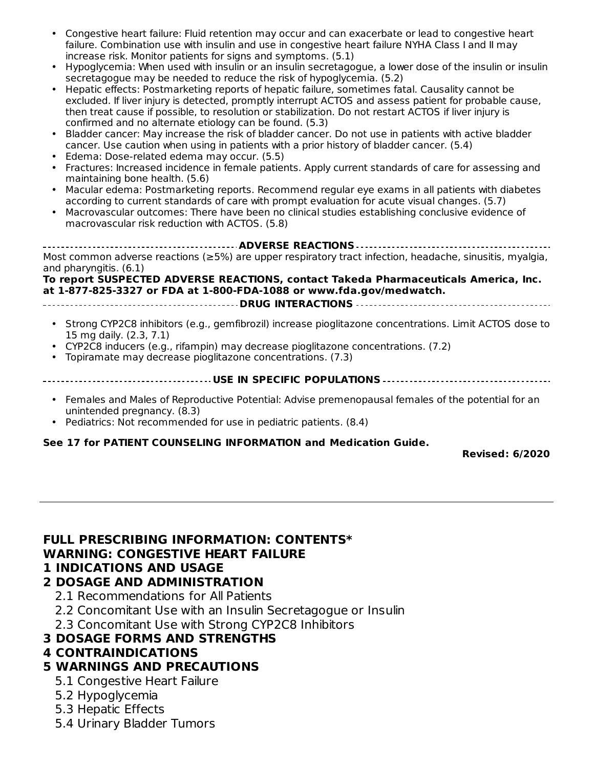- Congestive heart failure: Fluid retention may occur and can exacerbate or lead to congestive heart failure. Combination use with insulin and use in congestive heart failure NYHA Class I and II may increase risk. Monitor patients for signs and symptoms. (5.1)
- Hypoglycemia: When used with insulin or an insulin secretagogue, a lower dose of the insulin or insulin secretagogue may be needed to reduce the risk of hypoglycemia. (5.2)
- Hepatic effects: Postmarketing reports of hepatic failure, sometimes fatal. Causality cannot be excluded. If liver injury is detected, promptly interrupt ACTOS and assess patient for probable cause, then treat cause if possible, to resolution or stabilization. Do not restart ACTOS if liver injury is confirmed and no alternate etiology can be found. (5.3)
- Bladder cancer: May increase the risk of bladder cancer. Do not use in patients with active bladder cancer. Use caution when using in patients with a prior history of bladder cancer. (5.4)
- Edema: Dose-related edema may occur. (5.5)
- Fractures: Increased incidence in female patients. Apply current standards of care for assessing and maintaining bone health. (5.6)
- Macular edema: Postmarketing reports. Recommend regular eye exams in all patients with diabetes according to current standards of care with prompt evaluation for acute visual changes. (5.7)
- Macrovascular outcomes: There have been no clinical studies establishing conclusive evidence of macrovascular risk reduction with ACTOS. (5.8)

#### **ADVERSE REACTIONS** Most common adverse reactions (≥5%) are upper respiratory tract infection, headache, sinusitis, myalgia, and pharyngitis. (6.1)

#### **To report SUSPECTED ADVERSE REACTIONS, contact Takeda Pharmaceuticals America, Inc. at 1-877-825-3327 or FDA at 1-800-FDA-1088 or www.fda.gov/medwatch.**

**DRUG INTERACTIONS**

- Strong CYP2C8 inhibitors (e.g., gemfibrozil) increase pioglitazone concentrations. Limit ACTOS dose to 15 mg daily. (2.3, 7.1)
- CYP2C8 inducers (e.g., rifampin) may decrease pioglitazone concentrations. (7.2)
- Topiramate may decrease pioglitazone concentrations. (7.3)

#### **USE IN SPECIFIC POPULATIONS**

- Females and Males of Reproductive Potential: Advise premenopausal females of the potential for an unintended pregnancy. (8.3)
- Pediatrics: Not recommended for use in pediatric patients. (8.4)

#### **See 17 for PATIENT COUNSELING INFORMATION and Medication Guide.**

**Revised: 6/2020**

#### **FULL PRESCRIBING INFORMATION: CONTENTS\* WARNING: CONGESTIVE HEART FAILURE**

#### **1 INDICATIONS AND USAGE**

#### **2 DOSAGE AND ADMINISTRATION**

- 2.1 Recommendations for All Patients
- 2.2 Concomitant Use with an Insulin Secretagogue or Insulin
- 2.3 Concomitant Use with Strong CYP2C8 Inhibitors

#### **3 DOSAGE FORMS AND STRENGTHS**

#### **4 CONTRAINDICATIONS**

#### **5 WARNINGS AND PRECAUTIONS**

- 5.1 Congestive Heart Failure
- 5.2 Hypoglycemia
- 5.3 Hepatic Effects
- 5.4 Urinary Bladder Tumors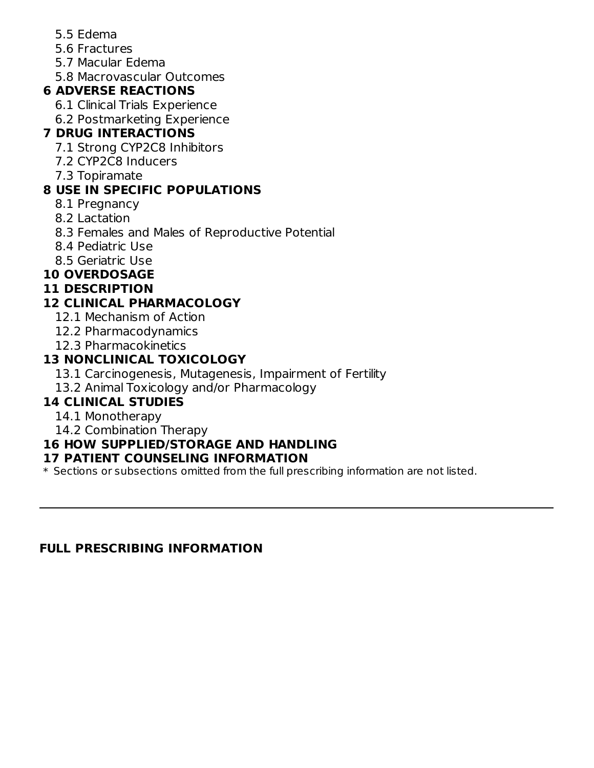- 5.5 Edema
- 5.6 Fractures
- 5.7 Macular Edema
- 5.8 Macrovascular Outcomes

#### **6 ADVERSE REACTIONS**

- 6.1 Clinical Trials Experience
- 6.2 Postmarketing Experience

# **7 DRUG INTERACTIONS**

- 7.1 Strong CYP2C8 Inhibitors
- 7.2 CYP2C8 Inducers
- 7.3 Topiramate

# **8 USE IN SPECIFIC POPULATIONS**

- 8.1 Pregnancy
- 8.2 Lactation
- 8.3 Females and Males of Reproductive Potential
- 8.4 Pediatric Use
- 8.5 Geriatric Use

# **10 OVERDOSAGE**

#### **11 DESCRIPTION**

#### **12 CLINICAL PHARMACOLOGY**

- 12.1 Mechanism of Action
- 12.2 Pharmacodynamics
- 12.3 Pharmacokinetics

#### **13 NONCLINICAL TOXICOLOGY**

- 13.1 Carcinogenesis, Mutagenesis, Impairment of Fertility
- 13.2 Animal Toxicology and/or Pharmacology

#### **14 CLINICAL STUDIES**

- 14.1 Monotherapy
- 14.2 Combination Therapy

#### **16 HOW SUPPLIED/STORAGE AND HANDLING**

#### **17 PATIENT COUNSELING INFORMATION**

\* Sections or subsections omitted from the full prescribing information are not listed.

#### **FULL PRESCRIBING INFORMATION**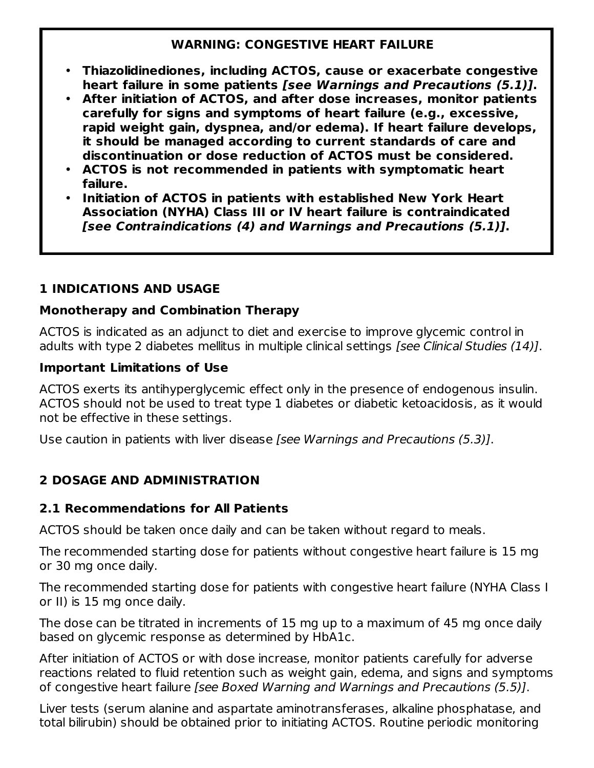#### **WARNING: CONGESTIVE HEART FAILURE**

- **Thiazolidinediones, including ACTOS, cause or exacerbate congestive heart failure in some patients [see Warnings and Precautions (5.1)].**
- **After initiation of ACTOS, and after dose increases, monitor patients carefully for signs and symptoms of heart failure (e.g., excessive, rapid weight gain, dyspnea, and/or edema). If heart failure develops, it should be managed according to current standards of care and discontinuation or dose reduction of ACTOS must be considered.**
- **ACTOS is not recommended in patients with symptomatic heart failure.**
- **Initiation of ACTOS in patients with established New York Heart Association (NYHA) Class III or IV heart failure is contraindicated [see Contraindications (4) and Warnings and Precautions (5.1)].**

#### **1 INDICATIONS AND USAGE**

#### **Monotherapy and Combination Therapy**

ACTOS is indicated as an adjunct to diet and exercise to improve glycemic control in adults with type 2 diabetes mellitus in multiple clinical settings [see Clinical Studies (14)].

#### **Important Limitations of Use**

ACTOS exerts its antihyperglycemic effect only in the presence of endogenous insulin. ACTOS should not be used to treat type 1 diabetes or diabetic ketoacidosis, as it would not be effective in these settings.

Use caution in patients with liver disease [see Warnings and Precautions (5.3)].

#### **2 DOSAGE AND ADMINISTRATION**

#### **2.1 Recommendations for All Patients**

ACTOS should be taken once daily and can be taken without regard to meals.

The recommended starting dose for patients without congestive heart failure is 15 mg or 30 mg once daily.

The recommended starting dose for patients with congestive heart failure (NYHA Class I or II) is 15 mg once daily.

The dose can be titrated in increments of 15 mg up to a maximum of 45 mg once daily based on glycemic response as determined by HbA1c.

After initiation of ACTOS or with dose increase, monitor patients carefully for adverse reactions related to fluid retention such as weight gain, edema, and signs and symptoms of congestive heart failure [see Boxed Warning and Warnings and Precautions (5.5)].

Liver tests (serum alanine and aspartate aminotransferases, alkaline phosphatase, and total bilirubin) should be obtained prior to initiating ACTOS. Routine periodic monitoring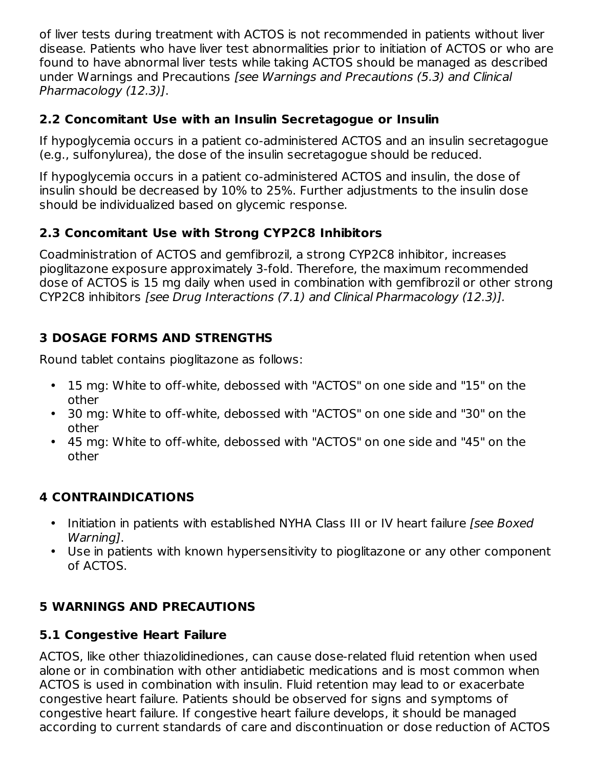of liver tests during treatment with ACTOS is not recommended in patients without liver disease. Patients who have liver test abnormalities prior to initiation of ACTOS or who are found to have abnormal liver tests while taking ACTOS should be managed as described under Warnings and Precautions [see Warnings and Precautions (5.3) and Clinical Pharmacology (12.3)].

#### **2.2 Concomitant Use with an Insulin Secretagogue or Insulin**

If hypoglycemia occurs in a patient co-administered ACTOS and an insulin secretagogue (e.g., sulfonylurea), the dose of the insulin secretagogue should be reduced.

If hypoglycemia occurs in a patient co-administered ACTOS and insulin, the dose of insulin should be decreased by 10% to 25%. Further adjustments to the insulin dose should be individualized based on glycemic response.

#### **2.3 Concomitant Use with Strong CYP2C8 Inhibitors**

Coadministration of ACTOS and gemfibrozil, a strong CYP2C8 inhibitor, increases pioglitazone exposure approximately 3-fold. Therefore, the maximum recommended dose of ACTOS is 15 mg daily when used in combination with gemfibrozil or other strong CYP2C8 inhibitors [see Drug Interactions (7.1) and Clinical Pharmacology (12.3)].

#### **3 DOSAGE FORMS AND STRENGTHS**

Round tablet contains pioglitazone as follows:

- 15 mg: White to off-white, debossed with "ACTOS" on one side and "15" on the other
- 30 mg: White to off-white, debossed with "ACTOS" on one side and "30" on the other
- 45 mg: White to off-white, debossed with "ACTOS" on one side and "45" on the other

#### **4 CONTRAINDICATIONS**

- Initiation in patients with established NYHA Class III or IV heart failure [see Boxed] Warning<sub>1</sub>.
- Use in patients with known hypersensitivity to pioglitazone or any other component of ACTOS.

#### **5 WARNINGS AND PRECAUTIONS**

#### **5.1 Congestive Heart Failure**

ACTOS, like other thiazolidinediones, can cause dose-related fluid retention when used alone or in combination with other antidiabetic medications and is most common when ACTOS is used in combination with insulin. Fluid retention may lead to or exacerbate congestive heart failure. Patients should be observed for signs and symptoms of congestive heart failure. If congestive heart failure develops, it should be managed according to current standards of care and discontinuation or dose reduction of ACTOS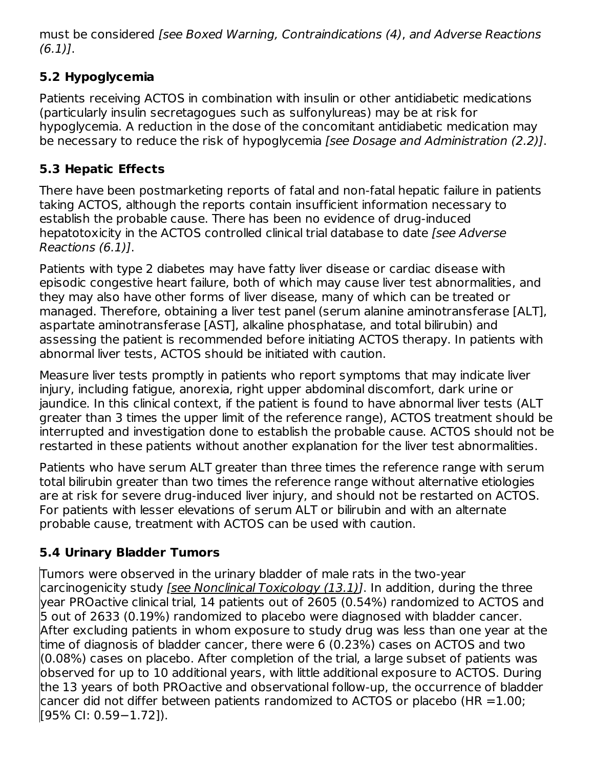must be considered [see Boxed Warning, Contraindications (4), and Adverse Reactions (6.1)].

# **5.2 Hypoglycemia**

Patients receiving ACTOS in combination with insulin or other antidiabetic medications (particularly insulin secretagogues such as sulfonylureas) may be at risk for hypoglycemia. A reduction in the dose of the concomitant antidiabetic medication may be necessary to reduce the risk of hypoglycemia [see Dosage and Administration (2.2)].

# **5.3 Hepatic Effects**

There have been postmarketing reports of fatal and non-fatal hepatic failure in patients taking ACTOS, although the reports contain insufficient information necessary to establish the probable cause. There has been no evidence of drug-induced hepatotoxicity in the ACTOS controlled clinical trial database to date [see Adverse Reactions (6.1)].

Patients with type 2 diabetes may have fatty liver disease or cardiac disease with episodic congestive heart failure, both of which may cause liver test abnormalities, and they may also have other forms of liver disease, many of which can be treated or managed. Therefore, obtaining a liver test panel (serum alanine aminotransferase [ALT], aspartate aminotransferase [AST], alkaline phosphatase, and total bilirubin) and assessing the patient is recommended before initiating ACTOS therapy. In patients with abnormal liver tests, ACTOS should be initiated with caution.

Measure liver tests promptly in patients who report symptoms that may indicate liver injury, including fatigue, anorexia, right upper abdominal discomfort, dark urine or jaundice. In this clinical context, if the patient is found to have abnormal liver tests (ALT greater than 3 times the upper limit of the reference range), ACTOS treatment should be interrupted and investigation done to establish the probable cause. ACTOS should not be restarted in these patients without another explanation for the liver test abnormalities.

Patients who have serum ALT greater than three times the reference range with serum total bilirubin greater than two times the reference range without alternative etiologies are at risk for severe drug-induced liver injury, and should not be restarted on ACTOS. For patients with lesser elevations of serum ALT or bilirubin and with an alternate probable cause, treatment with ACTOS can be used with caution.

# **5.4 Urinary Bladder Tumors**

Tumors were observed in the urinary bladder of male rats in the two-year carcinogenicity study [see Nonclinical Toxicology (13.1)]. In addition, during the three year PROactive clinical trial, 14 patients out of 2605 (0.54%) randomized to ACTOS and 5 out of 2633 (0.19%) randomized to placebo were diagnosed with bladder cancer. After excluding patients in whom exposure to study drug was less than one year at the time of diagnosis of bladder cancer, there were 6 (0.23%) cases on ACTOS and two (0.08%) cases on placebo. After completion of the trial, a large subset of patients was observed for up to 10 additional years, with little additional exposure to ACTOS. During the 13 years of both PROactive and observational follow-up, the occurrence of bladder cancer did not differ between patients randomized to ACTOS or placebo (HR =1.00; [95% CI: 0.59−1.72]).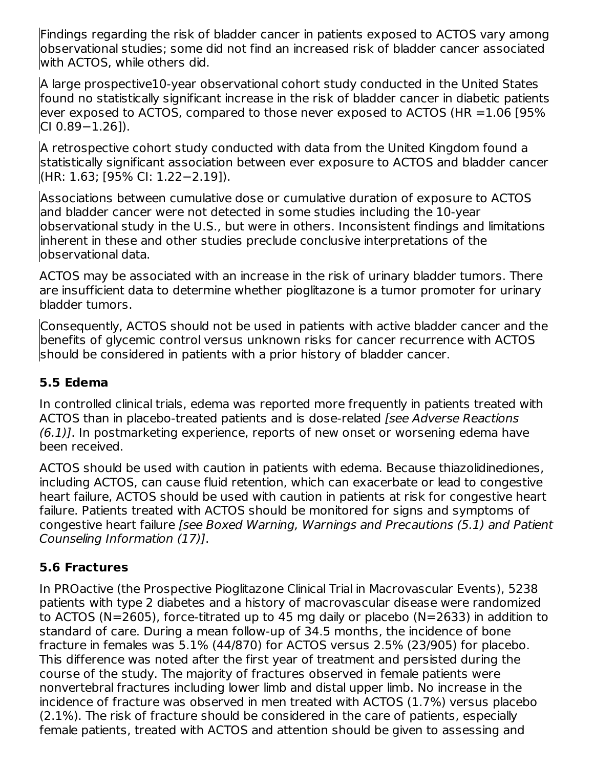Findings regarding the risk of bladder cancer in patients exposed to ACTOS vary among observational studies; some did not find an increased risk of bladder cancer associated with ACTOS, while others did.

A large prospective10-year observational cohort study conducted in the United States found no statistically significant increase in the risk of bladder cancer in diabetic patients ever exposed to ACTOS, compared to those never exposed to ACTOS (HR =1.06 [95% CI 0.89−1.26]).

A retrospective cohort study conducted with data from the United Kingdom found a statistically significant association between ever exposure to ACTOS and bladder cancer (HR: 1.63; [95% CI: 1.22−2.19]).

Associations between cumulative dose or cumulative duration of exposure to ACTOS and bladder cancer were not detected in some studies including the 10-year observational study in the U.S., but were in others. Inconsistent findings and limitations inherent in these and other studies preclude conclusive interpretations of the observational data.

ACTOS may be associated with an increase in the risk of urinary bladder tumors. There are insufficient data to determine whether pioglitazone is a tumor promoter for urinary bladder tumors.

Consequently, ACTOS should not be used in patients with active bladder cancer and the benefits of glycemic control versus unknown risks for cancer recurrence with ACTOS should be considered in patients with a prior history of bladder cancer.

#### **5.5 Edema**

In controlled clinical trials, edema was reported more frequently in patients treated with ACTOS than in placebo-treated patients and is dose-related [see Adverse Reactions (6.1)]. In postmarketing experience, reports of new onset or worsening edema have been received.

ACTOS should be used with caution in patients with edema. Because thiazolidinediones, including ACTOS, can cause fluid retention, which can exacerbate or lead to congestive heart failure, ACTOS should be used with caution in patients at risk for congestive heart failure. Patients treated with ACTOS should be monitored for signs and symptoms of congestive heart failure [see Boxed Warning, Warnings and Precautions (5.1) and Patient Counseling Information (17)].

#### **5.6 Fractures**

In PROactive (the Prospective Pioglitazone Clinical Trial in Macrovascular Events), 5238 patients with type 2 diabetes and a history of macrovascular disease were randomized to ACTOS (N=2605), force-titrated up to 45 mg daily or placebo (N=2633) in addition to standard of care. During a mean follow-up of 34.5 months, the incidence of bone fracture in females was 5.1% (44/870) for ACTOS versus 2.5% (23/905) for placebo. This difference was noted after the first year of treatment and persisted during the course of the study. The majority of fractures observed in female patients were nonvertebral fractures including lower limb and distal upper limb. No increase in the incidence of fracture was observed in men treated with ACTOS (1.7%) versus placebo (2.1%). The risk of fracture should be considered in the care of patients, especially female patients, treated with ACTOS and attention should be given to assessing and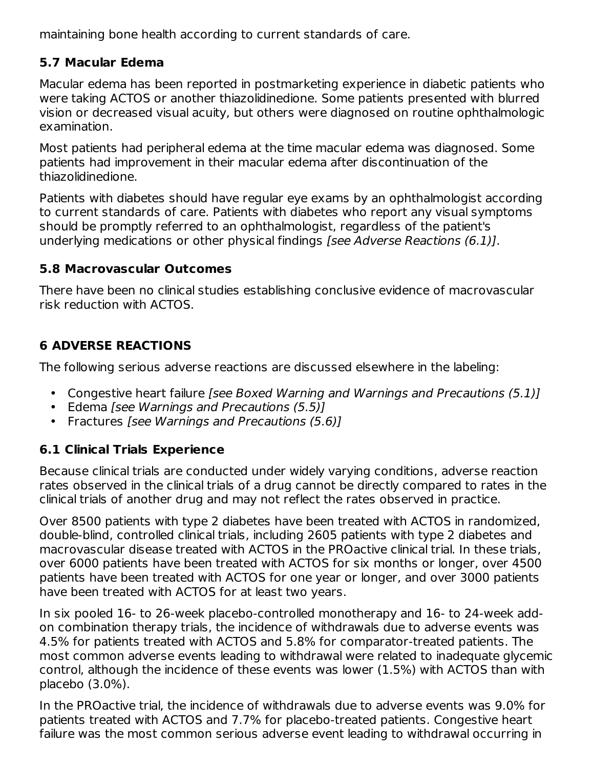maintaining bone health according to current standards of care.

#### **5.7 Macular Edema**

Macular edema has been reported in postmarketing experience in diabetic patients who were taking ACTOS or another thiazolidinedione. Some patients presented with blurred vision or decreased visual acuity, but others were diagnosed on routine ophthalmologic examination.

Most patients had peripheral edema at the time macular edema was diagnosed. Some patients had improvement in their macular edema after discontinuation of the thiazolidinedione.

Patients with diabetes should have regular eye exams by an ophthalmologist according to current standards of care. Patients with diabetes who report any visual symptoms should be promptly referred to an ophthalmologist, regardless of the patient's underlying medications or other physical findings [see Adverse Reactions (6.1)].

#### **5.8 Macrovascular Outcomes**

There have been no clinical studies establishing conclusive evidence of macrovascular risk reduction with ACTOS.

# **6 ADVERSE REACTIONS**

The following serious adverse reactions are discussed elsewhere in the labeling:

- Congestive heart failure [see Boxed Warning and Warnings and Precautions (5.1)]
- Edema [see Warnings and Precautions (5.5)]
- Fractures [see Warnings and Precautions (5.6)]

#### **6.1 Clinical Trials Experience**

Because clinical trials are conducted under widely varying conditions, adverse reaction rates observed in the clinical trials of a drug cannot be directly compared to rates in the clinical trials of another drug and may not reflect the rates observed in practice.

Over 8500 patients with type 2 diabetes have been treated with ACTOS in randomized, double-blind, controlled clinical trials, including 2605 patients with type 2 diabetes and macrovascular disease treated with ACTOS in the PROactive clinical trial. In these trials, over 6000 patients have been treated with ACTOS for six months or longer, over 4500 patients have been treated with ACTOS for one year or longer, and over 3000 patients have been treated with ACTOS for at least two years.

In six pooled 16- to 26-week placebo-controlled monotherapy and 16- to 24-week addon combination therapy trials, the incidence of withdrawals due to adverse events was 4.5% for patients treated with ACTOS and 5.8% for comparator-treated patients. The most common adverse events leading to withdrawal were related to inadequate glycemic control, although the incidence of these events was lower (1.5%) with ACTOS than with placebo (3.0%).

In the PROactive trial, the incidence of withdrawals due to adverse events was 9.0% for patients treated with ACTOS and 7.7% for placebo-treated patients. Congestive heart failure was the most common serious adverse event leading to withdrawal occurring in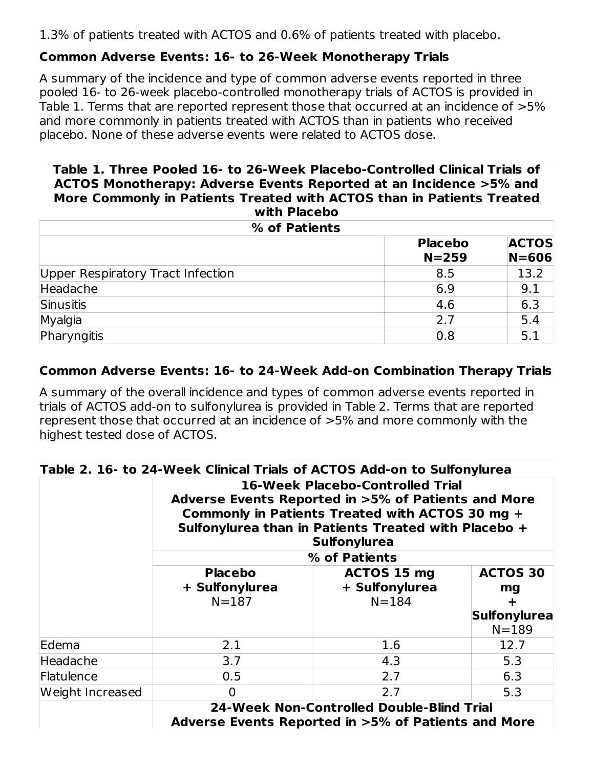1.3% of patients treated with ACTOS and 0.6% of patients treated with placebo.

#### **Common Adverse Events: 16- to 26-Week Monotherapy Trials**

A summary of the incidence and type of common adverse events reported in three pooled 16- to 26-week placebo-controlled monotherapy trials of ACTOS is provided in Table 1. Terms that are reported represent those that occurred at an incidence of >5% and more commonly in patients treated with ACTOS than in patients who received placebo. None of these adverse events were related to ACTOS dose.

#### **Table 1. Three Pooled 16- to 26-Week Placebo-Controlled Clinical Trials of ACTOS Monotherapy: Adverse Events Reported at an Incidence >5% and More Commonly in Patients Treated with ACTOS than in Patients Treated with Placebo**

| % of Patients                     |                             |                           |  |  |
|-----------------------------------|-----------------------------|---------------------------|--|--|
|                                   | <b>Placebo</b><br>$N = 259$ | <b>ACTOS</b><br>$N = 606$ |  |  |
| Upper Respiratory Tract Infection | 8.5                         | 13.2                      |  |  |
| Headache                          | 6.9                         | 9.1                       |  |  |
| Sinusitis                         | 4.6                         | 6.3                       |  |  |
| Myalgia                           | 2.7                         | 5.4                       |  |  |
| Pharyngitis                       | 0.8                         | 5.1                       |  |  |

#### **Common Adverse Events: 16- to 24-Week Add-on Combination Therapy Trials**

A summary of the overall incidence and types of common adverse events reported in trials of ACTOS add-on to sulfonylurea is provided in Table 2. Terms that are reported represent those that occurred at an incidence of >5% and more commonly with the highest tested dose of ACTOS.

| Table 2. 16- to 24-Week Clinical Trials of ACTOS Add-on to Sulfonylurea                                 |                                                                                                                                                                                                                                                   |                                            |                                                           |  |
|---------------------------------------------------------------------------------------------------------|---------------------------------------------------------------------------------------------------------------------------------------------------------------------------------------------------------------------------------------------------|--------------------------------------------|-----------------------------------------------------------|--|
|                                                                                                         | <b>16-Week Placebo-Controlled Trial</b><br>Adverse Events Reported in >5% of Patients and More<br>Commonly in Patients Treated with ACTOS 30 mg +<br>Sulfonylurea than in Patients Treated with Placebo +<br><b>Sulfonylurea</b><br>% of Patients |                                            |                                                           |  |
|                                                                                                         | <b>Placebo</b><br>+ Sulfonylurea<br>$N = 187$                                                                                                                                                                                                     | ACTOS 15 mg<br>+ Sulfonylurea<br>$N = 184$ | <b>ACTOS 30</b><br>mg<br><b>Sulfonylurea</b><br>$N = 189$ |  |
| Edema                                                                                                   | 2.1                                                                                                                                                                                                                                               | 1.6                                        | 12.7                                                      |  |
| Headache                                                                                                | 3.7                                                                                                                                                                                                                                               | 4.3                                        | 5.3                                                       |  |
| Flatulence                                                                                              | 0.5                                                                                                                                                                                                                                               | 2.7                                        | 6.3                                                       |  |
| Weight Increased                                                                                        | $\Omega$                                                                                                                                                                                                                                          | 2.7                                        | 5.3                                                       |  |
| <b>24-Week Non-Controlled Double-Blind Trial</b><br>Adverse Events Reported in >5% of Patients and More |                                                                                                                                                                                                                                                   |                                            |                                                           |  |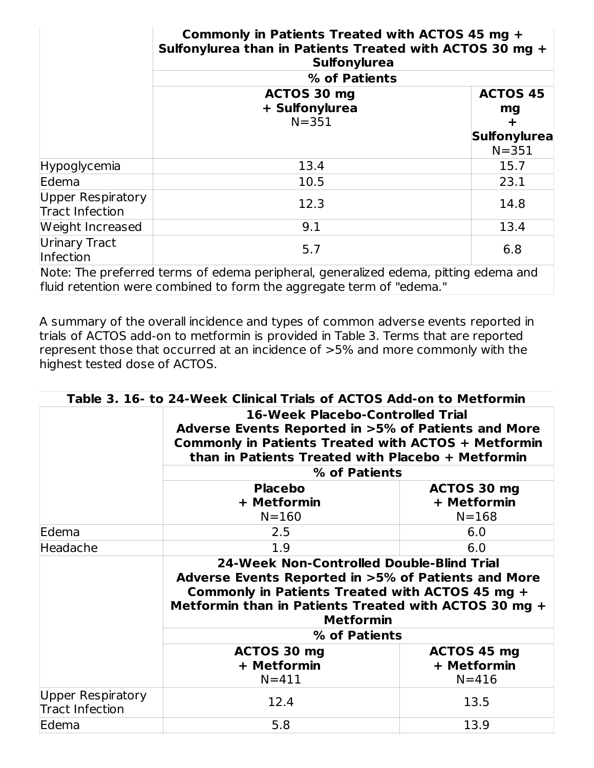|                                      | Commonly in Patients Treated with ACTOS 45 mg +<br>Sulfonylurea than in Patients Treated with ACTOS 30 mg +<br><b>Sulfonylurea</b>                          |                                  |
|--------------------------------------|-------------------------------------------------------------------------------------------------------------------------------------------------------------|----------------------------------|
|                                      | % of Patients                                                                                                                                               |                                  |
|                                      | ACTOS 30 mg<br>+ Sulfonylurea                                                                                                                               | <b>ACTOS 45</b><br>mg            |
|                                      | $N = 351$                                                                                                                                                   |                                  |
|                                      |                                                                                                                                                             | <b>Sulfonylurea</b><br>$N = 351$ |
| Hypoglycemia                         | 13.4                                                                                                                                                        | 15.7                             |
| Edema                                | 10.5                                                                                                                                                        | 23.1                             |
| Upper Respiratory<br>Tract Infection | 12.3                                                                                                                                                        | 14.8                             |
| Weight Increased                     | 9.1                                                                                                                                                         | 13.4                             |
| <b>Urinary Tract</b><br>Infection    | 5.7                                                                                                                                                         | 6.8                              |
|                                      | Note: The preferred terms of edema peripheral, generalized edema, pitting edema and<br>fluid retention were combined to form the aggregate term of "edema." |                                  |

A summary of the overall incidence and types of common adverse events reported in trials of ACTOS add-on to metformin is provided in Table 3. Terms that are reported represent those that occurred at an incidence of >5% and more commonly with the highest tested dose of ACTOS.

|                                                    | Table 3. 16- to 24-Week Clinical Trials of ACTOS Add-on to Metformin                                                                                                                                                        |                                         |  |  |
|----------------------------------------------------|-----------------------------------------------------------------------------------------------------------------------------------------------------------------------------------------------------------------------------|-----------------------------------------|--|--|
|                                                    | <b>16-Week Placebo-Controlled Trial</b><br>Adverse Events Reported in >5% of Patients and More<br>Commonly in Patients Treated with ACTOS + Metformin<br>than in Patients Treated with Placebo + Metformin<br>% of Patients |                                         |  |  |
|                                                    |                                                                                                                                                                                                                             |                                         |  |  |
|                                                    | <b>Placebo</b><br>+ Metformin<br>$N = 160$                                                                                                                                                                                  | ACTOS 30 mg<br>+ Metformin<br>$N = 168$ |  |  |
| Edema                                              | 2.5                                                                                                                                                                                                                         | 6.0                                     |  |  |
| Headache                                           | 1.9                                                                                                                                                                                                                         | 6.0                                     |  |  |
|                                                    | <b>24-Week Non-Controlled Double-Blind Trial</b><br>Adverse Events Reported in >5% of Patients and More<br>Commonly in Patients Treated with ACTOS 45 mg +<br>Metformin than in Patients Treated with ACTOS 30 mg +         |                                         |  |  |
|                                                    | % of Patients                                                                                                                                                                                                               |                                         |  |  |
|                                                    | <b>ACTOS 30 mg</b><br>+ Metformin<br>$N = 411$                                                                                                                                                                              | ACTOS 45 mg<br>+ Metformin<br>$N = 416$ |  |  |
| <b>Upper Respiratory</b><br><b>Tract Infection</b> | 12.4                                                                                                                                                                                                                        | 13.5                                    |  |  |
| Edema                                              | 5.8                                                                                                                                                                                                                         | 13.9                                    |  |  |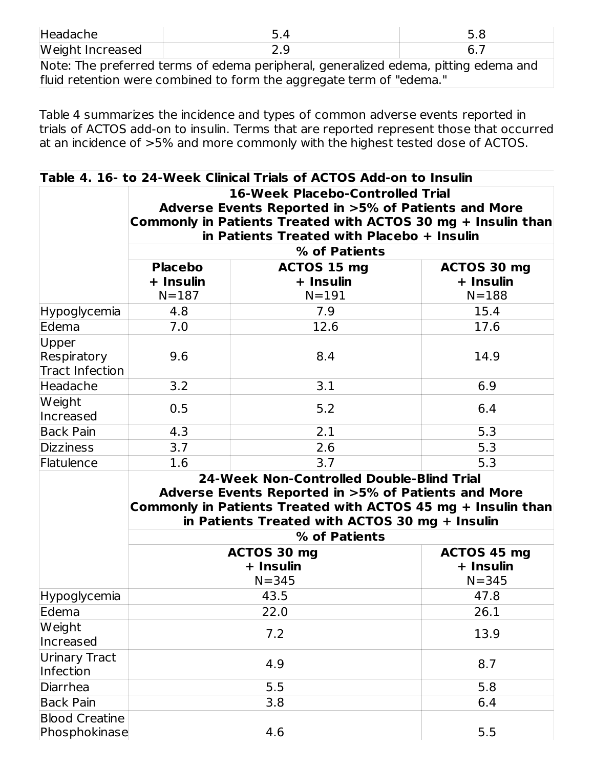| Headache                                                                            | 5.4 | 5.8 |  |  |  |
|-------------------------------------------------------------------------------------|-----|-----|--|--|--|
| Weight Increased                                                                    | 2.9 | 6.7 |  |  |  |
| Note: The preferred terms of edema peripheral, generalized edema, pitting edema and |     |     |  |  |  |
| fluid retention were combined to form the aggregate term of "edema."                |     |     |  |  |  |

Table 4 summarizes the incidence and types of common adverse events reported in trials of ACTOS add-on to insulin. Terms that are reported represent those that occurred at an incidence of >5% and more commonly with the highest tested dose of ACTOS.

| Table 4. 16- to 24-Week Clinical Trials of ACTOS Add-on to Insulin                                                                                                                                                        |                                                                                                                                                                                                              |                                       |           |  |  |  |
|---------------------------------------------------------------------------------------------------------------------------------------------------------------------------------------------------------------------------|--------------------------------------------------------------------------------------------------------------------------------------------------------------------------------------------------------------|---------------------------------------|-----------|--|--|--|
|                                                                                                                                                                                                                           | <b>16-Week Placebo-Controlled Trial</b><br>Adverse Events Reported in >5% of Patients and More<br>Commonly in Patients Treated with ACTOS 30 mg + Insulin than<br>in Patients Treated with Placebo + Insulin |                                       |           |  |  |  |
|                                                                                                                                                                                                                           |                                                                                                                                                                                                              | % of Patients                         |           |  |  |  |
|                                                                                                                                                                                                                           | <b>Placebo</b>                                                                                                                                                                                               | <b>ACTOS 15 mg</b><br>ACTOS 30 mg     |           |  |  |  |
|                                                                                                                                                                                                                           | + Insulin                                                                                                                                                                                                    | + Insulin                             | + Insulin |  |  |  |
|                                                                                                                                                                                                                           | $N = 187$                                                                                                                                                                                                    | $N = 191$                             | $N = 188$ |  |  |  |
| Hypoglycemia                                                                                                                                                                                                              | 4.8                                                                                                                                                                                                          | 7.9                                   | 15.4      |  |  |  |
| Edema                                                                                                                                                                                                                     | 7.0                                                                                                                                                                                                          | 12.6                                  | 17.6      |  |  |  |
| Upper<br>Respiratory<br>Tract Infection                                                                                                                                                                                   | 9.6                                                                                                                                                                                                          | 8.4                                   | 14.9      |  |  |  |
| Headache                                                                                                                                                                                                                  | 3.2                                                                                                                                                                                                          | 3.1                                   | 6.9       |  |  |  |
| Weight<br>Increased                                                                                                                                                                                                       | 0.5                                                                                                                                                                                                          | 5.2                                   | 6.4       |  |  |  |
| <b>Back Pain</b>                                                                                                                                                                                                          | 4.3                                                                                                                                                                                                          | 2.1                                   | 5.3       |  |  |  |
| <b>Dizziness</b>                                                                                                                                                                                                          | 3.7                                                                                                                                                                                                          | 2.6                                   | 5.3       |  |  |  |
| Flatulence                                                                                                                                                                                                                | 1.6                                                                                                                                                                                                          | 3.7                                   | 5.3       |  |  |  |
| <b>24-Week Non-Controlled Double-Blind Trial</b><br>Adverse Events Reported in >5% of Patients and More<br>Commonly in Patients Treated with ACTOS 45 mg + Insulin than<br>in Patients Treated with ACTOS 30 mg + Insulin |                                                                                                                                                                                                              |                                       |           |  |  |  |
|                                                                                                                                                                                                                           |                                                                                                                                                                                                              | % of Patients<br>ACTOS 30 mg          |           |  |  |  |
|                                                                                                                                                                                                                           |                                                                                                                                                                                                              | ACTOS 45 mg<br>+ Insulin<br>$N = 345$ |           |  |  |  |
| Hypoglycemia                                                                                                                                                                                                              |                                                                                                                                                                                                              | 43.5                                  | 47.8      |  |  |  |
| Edema                                                                                                                                                                                                                     |                                                                                                                                                                                                              | 22.0                                  | 26.1      |  |  |  |
| Weight<br>Increased                                                                                                                                                                                                       | 7.2                                                                                                                                                                                                          |                                       | 13.9      |  |  |  |
| <b>Urinary Tract</b><br>Infection                                                                                                                                                                                         | 4.9                                                                                                                                                                                                          |                                       | 8.7       |  |  |  |
| Diarrhea                                                                                                                                                                                                                  |                                                                                                                                                                                                              | 5.5                                   | 5.8       |  |  |  |
| <b>Back Pain</b>                                                                                                                                                                                                          |                                                                                                                                                                                                              | 3.8                                   | 6.4       |  |  |  |
| <b>Blood Creatine</b><br>Phosphokinase                                                                                                                                                                                    | 4.6                                                                                                                                                                                                          |                                       | 5.5       |  |  |  |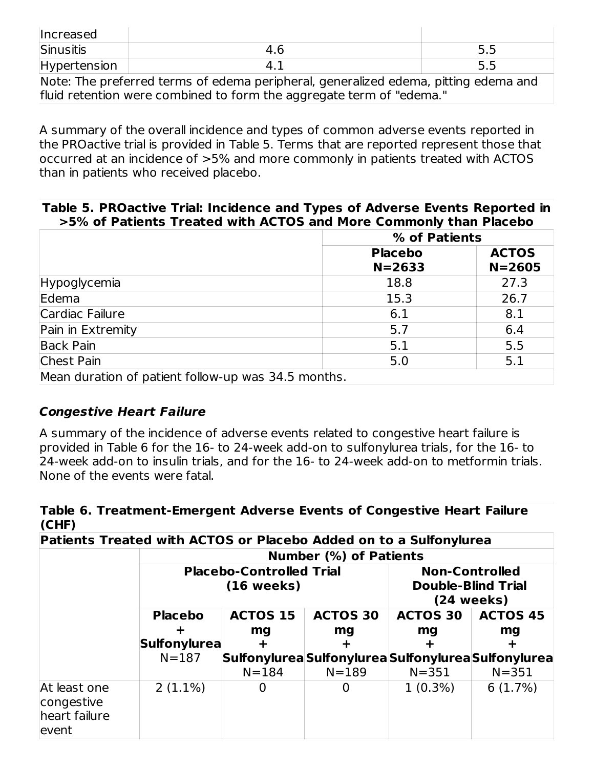| <b>Increased</b>                                                                  |  |  |  |  |  |
|-----------------------------------------------------------------------------------|--|--|--|--|--|
| Sinusitis                                                                         |  |  |  |  |  |
| <b>Hypertension</b>                                                               |  |  |  |  |  |
| Netau The proferred terms of edema peripheral generalized edema pitting edema and |  |  |  |  |  |

Note: The preferred terms of edema peripheral, generalized edema, pitting edema and fluid retention were combined to form the aggregate term of "edema."

A summary of the overall incidence and types of common adverse events reported in the PROactive trial is provided in Table 5. Terms that are reported represent those that occurred at an incidence of >5% and more commonly in patients treated with ACTOS than in patients who received placebo.

#### **Table 5. PROactive Trial: Incidence and Types of Adverse Events Reported in >5% of Patients Treated with ACTOS and More Commonly than Placebo**

|                                                     | % of Patients                |                            |  |
|-----------------------------------------------------|------------------------------|----------------------------|--|
|                                                     | <b>Placebo</b><br>$N = 2633$ | <b>ACTOS</b><br>$N = 2605$ |  |
| <b>Hypoglycemia</b>                                 | 18.8                         | 27.3                       |  |
| Edema                                               | 15.3                         | 26.7                       |  |
| Cardiac Failure                                     | 6.1                          | 8.1                        |  |
| Pain in Extremity                                   | 5.7                          | 6.4                        |  |
| <b>Back Pain</b>                                    | 5.1                          | 5.5                        |  |
| <b>Chest Pain</b>                                   | 5.0                          | 5.1                        |  |
| Mean duration of patient follow-up was 34.5 months. |                              |                            |  |

#### **Congestive Heart Failure**

A summary of the incidence of adverse events related to congestive heart failure is provided in Table 6 for the 16- to 24-week add-on to sulfonylurea trials, for the 16- to 24-week add-on to insulin trials, and for the 16- to 24-week add-on to metformin trials. None of the events were fatal.

#### **Table 6. Treatment-Emergent Adverse Events of Congestive Heart Failure (CHF)**

|                                                      | Patients Treated with ACTOS or Placebo Added on to a Sulfonylurea |           |                               |                                                                    |                                                     |
|------------------------------------------------------|-------------------------------------------------------------------|-----------|-------------------------------|--------------------------------------------------------------------|-----------------------------------------------------|
|                                                      |                                                                   |           | <b>Number (%) of Patients</b> |                                                                    |                                                     |
|                                                      | <b>Placebo-Controlled Trial</b><br>$(16$ weeks)                   |           |                               | <b>Non-Controlled</b><br><b>Double-Blind Trial</b><br>$(24$ weeks) |                                                     |
|                                                      | <b>ACTOS 15</b><br><b>Placebo</b><br>mg                           |           | <b>ACTOS 30</b><br>mg         | <b>ACTOS 30</b><br>mg                                              | <b>ACTOS 45</b><br>mg                               |
|                                                      | <b>Sulfonylurea</b>                                               |           |                               |                                                                    |                                                     |
|                                                      | $N = 187$                                                         |           |                               |                                                                    | Sulfonylurea Sulfonylurea Sulfonylurea Sulfonylurea |
|                                                      |                                                                   | $N = 184$ | $N = 189$                     | $N = 351$                                                          | $N = 351$                                           |
| At least one<br>congestive<br>heart failure<br>event | $2(1.1\%)$                                                        | 0         | 0                             | $1(0.3\%)$                                                         | 6(1.7%)                                             |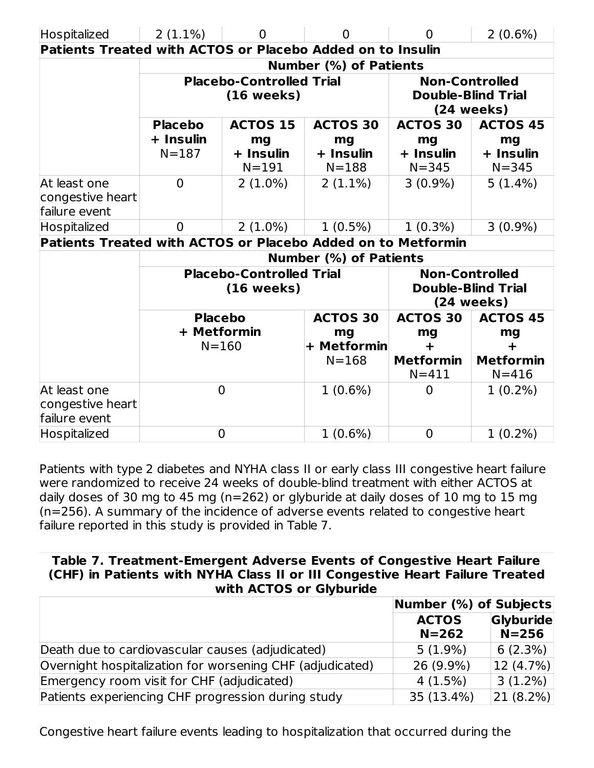| Hospitalized                                                 | $2(1.1\%)$                                                                                                            | $\overline{0}$  | $\overline{0}$                | $\Omega$                                                           | $2(0.6\%)$           |  |
|--------------------------------------------------------------|-----------------------------------------------------------------------------------------------------------------------|-----------------|-------------------------------|--------------------------------------------------------------------|----------------------|--|
| Patients Treated with ACTOS or Placebo Added on to Insulin   |                                                                                                                       |                 |                               |                                                                    |                      |  |
|                                                              |                                                                                                                       |                 | <b>Number (%) of Patients</b> |                                                                    |                      |  |
|                                                              | <b>Placebo-Controlled Trial</b><br>$(16$ weeks)                                                                       |                 |                               | <b>Non-Controlled</b><br><b>Double-Blind Trial</b><br>$(24$ weeks) |                      |  |
|                                                              | <b>Placebo</b>                                                                                                        | <b>ACTOS 15</b> | <b>ACTOS 30</b>               | <b>ACTOS 30</b>                                                    | <b>ACTOS 45</b>      |  |
|                                                              | + Insulin                                                                                                             | mg              | mg                            | mg                                                                 | mg                   |  |
|                                                              | $N = 187$                                                                                                             | + Insulin       | + Insulin                     | + Insulin                                                          | + Insulin            |  |
|                                                              |                                                                                                                       | $N = 191$       | $N = 188$                     | $N = 345$                                                          | $N = 345$            |  |
| At least one<br>congestive heart<br>failure event            | $\overline{0}$                                                                                                        | $2(1.0\%)$      | $2(1.1\%)$                    | $3(0.9\%)$                                                         | $5(1.4\%)$           |  |
| Hospitalized                                                 | $\overline{0}$                                                                                                        | $2(1.0\%)$      | $1(0.5\%)$                    | $1(0.3\%)$                                                         | $3(0.9\%)$           |  |
| Patients Treated with ACTOS or Placebo Added on to Metformin |                                                                                                                       |                 |                               |                                                                    |                      |  |
|                                                              |                                                                                                                       |                 | <b>Number (%) of Patients</b> |                                                                    |                      |  |
|                                                              | <b>Placebo-Controlled Trial</b><br><b>Non-Controlled</b><br><b>Double-Blind Trial</b><br>$(16$ weeks)<br>$(24$ weeks) |                 |                               |                                                                    |                      |  |
|                                                              |                                                                                                                       | <b>Placebo</b>  | <b>ACTOS 30</b>               | <b>ACTOS 30</b>                                                    | <b>ACTOS 45</b>      |  |
|                                                              |                                                                                                                       | + Metformin     | mg                            | mg                                                                 | mg                   |  |
|                                                              |                                                                                                                       | $N = 160$       | + Metformin                   | $\div$                                                             | $\textcolor{red}{+}$ |  |
|                                                              |                                                                                                                       |                 | $N = 168$                     | <b>Metformin</b>                                                   | <b>Metformin</b>     |  |
|                                                              |                                                                                                                       |                 |                               | $N = 411$                                                          | $N = 416$            |  |
| At least one<br>congestive heart<br>failure event            |                                                                                                                       | $\overline{0}$  | $1(0.6\%)$                    | $\Omega$                                                           | $1(0.2\%)$           |  |
| Hospitalized                                                 |                                                                                                                       | $\mathbf 0$     | $1(0.6\%)$                    | $\mathbf 0$                                                        | $1(0.2\%)$           |  |

Patients with type 2 diabetes and NYHA class II or early class III congestive heart failure were randomized to receive 24 weeks of double-blind treatment with either ACTOS at daily doses of 30 mg to 45 mg (n=262) or glyburide at daily doses of 10 mg to 15 mg (n=256). A summary of the incidence of adverse events related to congestive heart failure reported in this study is provided in Table 7.

#### **Table 7. Treatment-Emergent Adverse Events of Congestive Heart Failure (CHF) in Patients with NYHA Class II or III Congestive Heart Failure Treated with ACTOS or Glyburide**

|                                                           |                           | Number (%) of Subjects |  |  |
|-----------------------------------------------------------|---------------------------|------------------------|--|--|
|                                                           | <b>ACTOS</b><br>$N = 262$ | Glyburide<br>$N = 256$ |  |  |
| Death due to cardiovascular causes (adjudicated)          | $5(1.9\%)$                | 6(2.3%)                |  |  |
| Overnight hospitalization for worsening CHF (adjudicated) | 26 (9.9%)                 | 12(4.7%)               |  |  |
| Emergency room visit for CHF (adjudicated)                | 4(1.5%)                   | $3(1.2\%)$             |  |  |
| Patients experiencing CHF progression during study        | 35 (13.4%)                | $ 21(8.2\%) $          |  |  |

Congestive heart failure events leading to hospitalization that occurred during the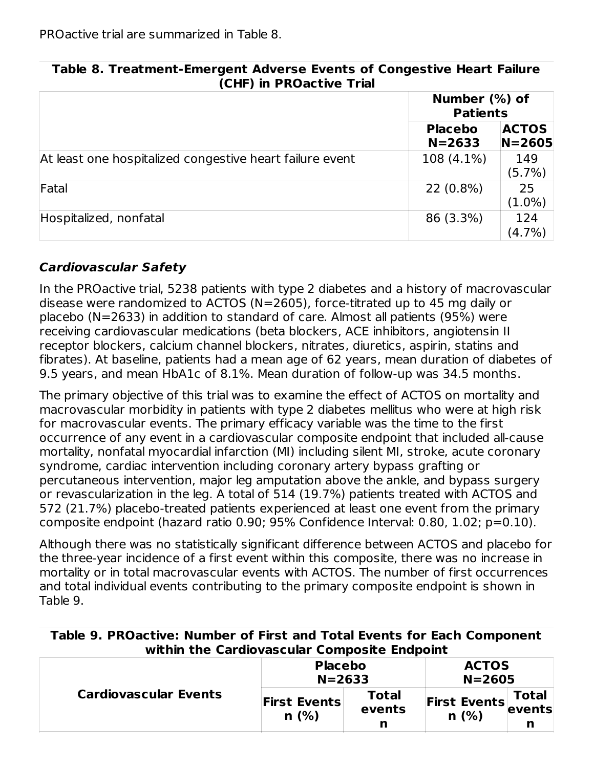PROactive trial are summarized in Table 8.

| (CHF) in PROactive Trial                                 |                                  |                            |
|----------------------------------------------------------|----------------------------------|----------------------------|
|                                                          | Number (%) of<br><b>Patients</b> |                            |
|                                                          | <b>Placebo</b><br>$N = 2633$     | <b>ACTOS</b><br>$N = 2605$ |
| At least one hospitalized congestive heart failure event | 108 (4.1%)                       | 149<br>$(5.7\%)$           |
| Fatal                                                    | 22 (0.8%)                        | 25<br>$(1.0\%)$            |
| Hospitalized, nonfatal                                   | 86 (3.3%)                        | 124<br>(4.7%)              |

# **Table 8. Treatment-Emergent Adverse Events of Congestive Heart Failure**

#### **Cardiovascular Safety**

In the PROactive trial, 5238 patients with type 2 diabetes and a history of macrovascular disease were randomized to ACTOS (N=2605), force-titrated up to 45 mg daily or placebo (N=2633) in addition to standard of care. Almost all patients (95%) were receiving cardiovascular medications (beta blockers, ACE inhibitors, angiotensin II receptor blockers, calcium channel blockers, nitrates, diuretics, aspirin, statins and fibrates). At baseline, patients had a mean age of 62 years, mean duration of diabetes of 9.5 years, and mean HbA1c of 8.1%. Mean duration of follow-up was 34.5 months.

The primary objective of this trial was to examine the effect of ACTOS on mortality and macrovascular morbidity in patients with type 2 diabetes mellitus who were at high risk for macrovascular events. The primary efficacy variable was the time to the first occurrence of any event in a cardiovascular composite endpoint that included all-cause mortality, nonfatal myocardial infarction (MI) including silent MI, stroke, acute coronary syndrome, cardiac intervention including coronary artery bypass grafting or percutaneous intervention, major leg amputation above the ankle, and bypass surgery or revascularization in the leg. A total of 514 (19.7%) patients treated with ACTOS and 572 (21.7%) placebo-treated patients experienced at least one event from the primary composite endpoint (hazard ratio 0.90; 95% Confidence Interval: 0.80, 1.02; p=0.10).

Although there was no statistically significant difference between ACTOS and placebo for the three-year incidence of a first event within this composite, there was no increase in mortality or in total macrovascular events with ACTOS. The number of first occurrences and total individual events contributing to the primary composite endpoint is shown in Table 9.

| <b>WILLING</b> CUI GIOVASCURI COMPOSILE LIMPONIL |                              |                             |                             |                      |
|--------------------------------------------------|------------------------------|-----------------------------|-----------------------------|----------------------|
|                                                  | <b>Placebo</b><br>$N = 2633$ |                             | <b>ACTOS</b><br>$N = 2605$  |                      |
| <b>Cardiovascular Events</b>                     | <b>First Events</b><br>n(%)  | <b>Total</b><br>events<br>n | <b>First Events</b><br>n(%) | Total<br>events<br>n |

#### **Table 9. PROactive: Number of First and Total Events for Each Component within the Cardiovascular Composite Endpoint**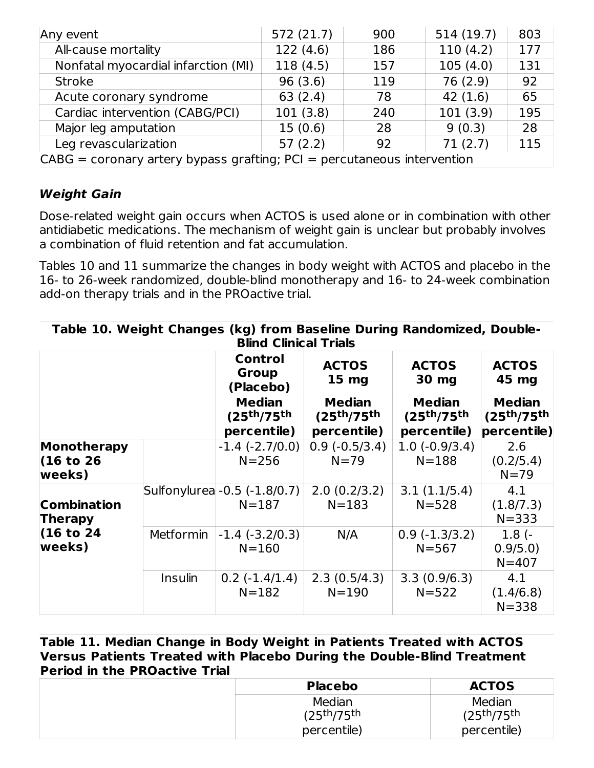| Any event                                                                   | 572 (21.7) | 900 | 514 (19.7) | 803 |  |
|-----------------------------------------------------------------------------|------------|-----|------------|-----|--|
| All-cause mortality                                                         | 122(4.6)   | 186 | 110(4.2)   | 177 |  |
| Nonfatal myocardial infarction (MI)                                         | 118(4.5)   | 157 | 105(4.0)   | 131 |  |
| <b>Stroke</b>                                                               | 96(3.6)    | 119 | 76 (2.9)   | 92  |  |
| Acute coronary syndrome                                                     | 63(2.4)    | 78  | 42(1.6)    | 65  |  |
| Cardiac intervention (CABG/PCI)                                             | 101(3.8)   | 240 | 101(3.9)   | 195 |  |
| Major leg amputation                                                        | 15(0.6)    | 28  | 9(0.3)     | 28  |  |
| Leg revascularization                                                       | 57(2.2)    | 92  | 71(2.7)    | 115 |  |
| $CABG =$ coronary artery bypass grafting; $PCl =$ percutaneous intervention |            |     |            |     |  |

#### **Weight Gain**

Dose-related weight gain occurs when ACTOS is used alone or in combination with other antidiabetic medications. The mechanism of weight gain is unclear but probably involves a combination of fluid retention and fat accumulation.

Tables 10 and 11 summarize the changes in body weight with ACTOS and placebo in the 16- to 26-week randomized, double-blind monotherapy and 16- to 24-week combination add-on therapy trials and in the PROactive trial.

| Table 10. Weight Changes (kg) from Baseline During Randomized, Double-<br><b>Blind Clinical Trials</b> |                |                                                                                                   |                                                                       |                                                                       |                                                                       |  |
|--------------------------------------------------------------------------------------------------------|----------------|---------------------------------------------------------------------------------------------------|-----------------------------------------------------------------------|-----------------------------------------------------------------------|-----------------------------------------------------------------------|--|
|                                                                                                        |                | Control<br><b>ACTOS</b><br><b>ACTOS</b><br><b>Group</b><br>15 <sub>mg</sub><br>30 mg<br>(Placebo) |                                                                       |                                                                       |                                                                       |  |
|                                                                                                        |                | <b>Median</b><br>(25 <sup>th</sup> /75 <sup>th</sup> )<br>percentile)                             | <b>Median</b><br>(25 <sup>th</sup> /75 <sup>th</sup> )<br>percentile) | <b>Median</b><br>(25 <sup>th</sup> /75 <sup>th</sup> )<br>percentile) | <b>Median</b><br>(25 <sup>th</sup> /75 <sup>th</sup> )<br>percentile) |  |
| Monotherapy<br>(16 to 26<br> weeks)                                                                    |                | $-1.4$ $(-2.7/0.0)$<br>$N = 256$                                                                  | $0.9(-0.5/3.4)$<br>$N = 79$                                           | $1.0(-0.9/3.4)$<br>$N = 188$                                          | 2.6<br>(0.2/5.4)<br>$N = 79$                                          |  |
| <b>Combination</b><br><b>Therapy</b>                                                                   |                | Sulfonylurea - 0.5 (-1.8/0.7)<br>$N = 187$                                                        | 2.0(0.2/3.2)<br>$N = 183$                                             | 3.1(1.1/5.4)<br>$N = 528$                                             | 4.1<br>(1.8/7.3)<br>$N = 333$                                         |  |
| (16 to 24<br> weeks)                                                                                   | Metformin      | $-1.4$ ( $-3.2/0.3$ )<br>$N = 160$                                                                | N/A                                                                   | $0.9(-1.3/3.2)$<br>$N = 567$                                          | $1.8(-$<br>0.9/5.0<br>$N = 407$                                       |  |
|                                                                                                        | <b>Insulin</b> | $0.2$ ( $-1.4/1.4$ )<br>$N = 182$                                                                 | 2.3(0.5/4.3)<br>$N = 190$                                             | 3.3(0.9/6.3)<br>$N = 522$                                             | 4.1<br>(1.4/6.8)<br>$N = 338$                                         |  |

#### **Table 11. Median Change in Body Weight in Patients Treated with ACTOS Versus Patients Treated with Placebo During the Double-Blind Treatment Period in the PROactive Trial**

| <b>Placebo</b>                                  | <b>ACTOS</b>                                    |
|-------------------------------------------------|-------------------------------------------------|
| Median<br>(25 <sup>th</sup> /75 <sup>th</sup> ) | Median<br>(25 <sup>th</sup> /75 <sup>th</sup> ) |
| percentile)                                     | percentile)                                     |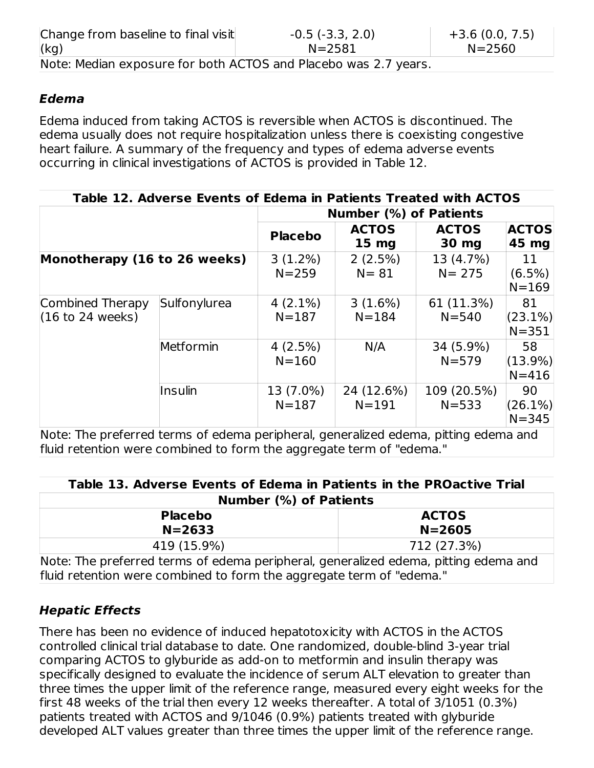| Change from baseline to final visit                             | $-0.5$ ( $-3.3$ , 2.0) | $+3.6(0.0, 7.5)$ |
|-----------------------------------------------------------------|------------------------|------------------|
| (kq)                                                            | $N = 2581$             | $N = 2560$       |
| Note: Median exposure for both ACTOS and Placebo was 2.7 years. |                        |                  |

#### **Edema**

Edema induced from taking ACTOS is reversible when ACTOS is discontinued. The edema usually does not require hospitalization unless there is coexisting congestive heart failure. A summary of the frequency and types of edema adverse events occurring in clinical investigations of ACTOS is provided in Table 12.

| Table 12. Adverse Events of Edema in Patients Treated with ACTOS |                |                             |                                  |                               |                               |
|------------------------------------------------------------------|----------------|-----------------------------|----------------------------------|-------------------------------|-------------------------------|
|                                                                  |                |                             | <b>Number (%) of Patients</b>    |                               |                               |
|                                                                  |                | <b>Placebo</b>              | <b>ACTOS</b><br>15 <sub>mg</sub> | <b>ACTOS</b><br>30 mg         | <b>ACTOS</b><br>45 mg         |
| Monotherapy (16 to 26 weeks)                                     |                | $3(1.2\%)$<br>$N = 259$     | 2(2.5%)<br>$N = 81$              | 13 (4.7%)<br>$N = 275$        | 11<br>$(6.5\%)$<br>$N = 169$  |
| Combined Therapy<br>$(16 \text{ to } 24 \text{ weeks})$          | Sulfonylurea   | $4(2.1\%)$<br>$N = 187$     | 3(1.6%)<br>$N = 184$             | 61 (11.3%)<br>$N = 540$       | 81<br>(23.1%)<br>$N = 351$    |
|                                                                  | Metformin      | 4(2.5%)<br>$N = 160$        | N/A                              | 34 (5.9%)<br>$N = 579$        | 58<br>$(13.9\%)$<br>$N = 416$ |
| $\epsilon$<br>--                                                 | Insulin<br>. . | 13 (7.0%)<br>$N = 187$<br>. | 24 (12.6%)<br>$N = 191$          | 109 (20.5%)<br>$N = 533$<br>. | 90<br>$(26.1\%)$<br>$N = 345$ |

Note: The preferred terms of edema peripheral, generalized edema, pitting edema and fluid retention were combined to form the aggregate term of "edema."

| Table 13. Adverse Events of Edema in Patients in the PROactive Trial |  |  |
|----------------------------------------------------------------------|--|--|
| <b>Number (%) of Patients</b>                                        |  |  |
| <b>ACTOS</b>                                                         |  |  |
| $N = 2605$                                                           |  |  |
| 712 (27.3%)                                                          |  |  |
|                                                                      |  |  |

Note: The preferred terms of edema peripheral, generalized edema, pitting edema and fluid retention were combined to form the aggregate term of "edema."

#### **Hepatic Effects**

There has been no evidence of induced hepatotoxicity with ACTOS in the ACTOS controlled clinical trial database to date. One randomized, double-blind 3-year trial comparing ACTOS to glyburide as add-on to metformin and insulin therapy was specifically designed to evaluate the incidence of serum ALT elevation to greater than three times the upper limit of the reference range, measured every eight weeks for the first 48 weeks of the trial then every 12 weeks thereafter. A total of 3/1051 (0.3%) patients treated with ACTOS and 9/1046 (0.9%) patients treated with glyburide developed ALT values greater than three times the upper limit of the reference range.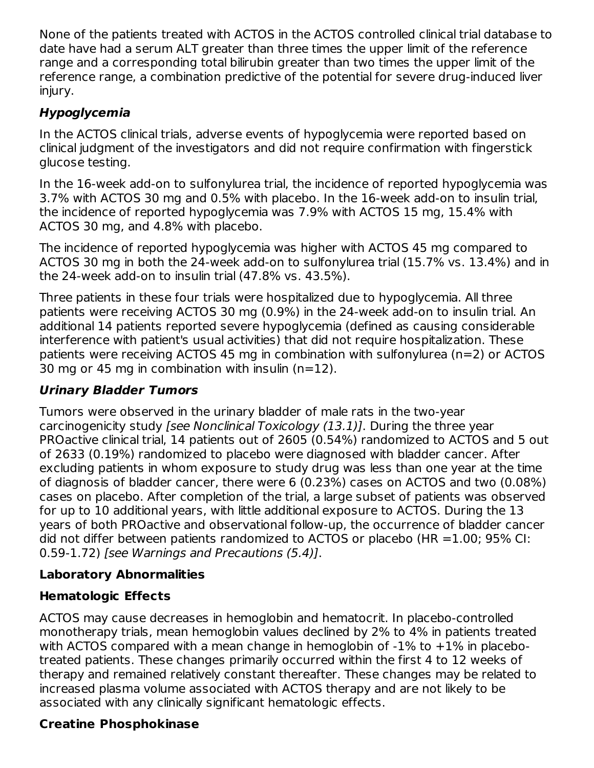None of the patients treated with ACTOS in the ACTOS controlled clinical trial database to date have had a serum ALT greater than three times the upper limit of the reference range and a corresponding total bilirubin greater than two times the upper limit of the reference range, a combination predictive of the potential for severe drug-induced liver iniurv.

# **Hypoglycemia**

In the ACTOS clinical trials, adverse events of hypoglycemia were reported based on clinical judgment of the investigators and did not require confirmation with fingerstick glucose testing.

In the 16-week add-on to sulfonylurea trial, the incidence of reported hypoglycemia was 3.7% with ACTOS 30 mg and 0.5% with placebo. In the 16-week add-on to insulin trial, the incidence of reported hypoglycemia was 7.9% with ACTOS 15 mg, 15.4% with ACTOS 30 mg, and 4.8% with placebo.

The incidence of reported hypoglycemia was higher with ACTOS 45 mg compared to ACTOS 30 mg in both the 24-week add-on to sulfonylurea trial (15.7% vs. 13.4%) and in the 24-week add-on to insulin trial (47.8% vs. 43.5%).

Three patients in these four trials were hospitalized due to hypoglycemia. All three patients were receiving ACTOS 30 mg (0.9%) in the 24-week add-on to insulin trial. An additional 14 patients reported severe hypoglycemia (defined as causing considerable interference with patient's usual activities) that did not require hospitalization. These patients were receiving ACTOS 45 mg in combination with sulfonylurea (n=2) or ACTOS 30 mg or 45 mg in combination with insulin (n=12).

# **Urinary Bladder Tumors**

Tumors were observed in the urinary bladder of male rats in the two-year carcinogenicity study [see Nonclinical Toxicology (13.1)]. During the three year PROactive clinical trial, 14 patients out of 2605 (0.54%) randomized to ACTOS and 5 out of 2633 (0.19%) randomized to placebo were diagnosed with bladder cancer. After excluding patients in whom exposure to study drug was less than one year at the time of diagnosis of bladder cancer, there were 6 (0.23%) cases on ACTOS and two (0.08%) cases on placebo. After completion of the trial, a large subset of patients was observed for up to 10 additional years, with little additional exposure to ACTOS. During the 13 years of both PROactive and observational follow-up, the occurrence of bladder cancer did not differ between patients randomized to ACTOS or placebo (HR =1.00; 95% CI: 0.59-1.72) [see Warnings and Precautions (5.4)].

# **Laboratory Abnormalities**

# **Hematologic Effects**

ACTOS may cause decreases in hemoglobin and hematocrit. In placebo-controlled monotherapy trials, mean hemoglobin values declined by 2% to 4% in patients treated with ACTOS compared with a mean change in hemoglobin of  $-1\%$  to  $+1\%$  in placebotreated patients. These changes primarily occurred within the first 4 to 12 weeks of therapy and remained relatively constant thereafter. These changes may be related to increased plasma volume associated with ACTOS therapy and are not likely to be associated with any clinically significant hematologic effects.

# **Creatine Phosphokinase**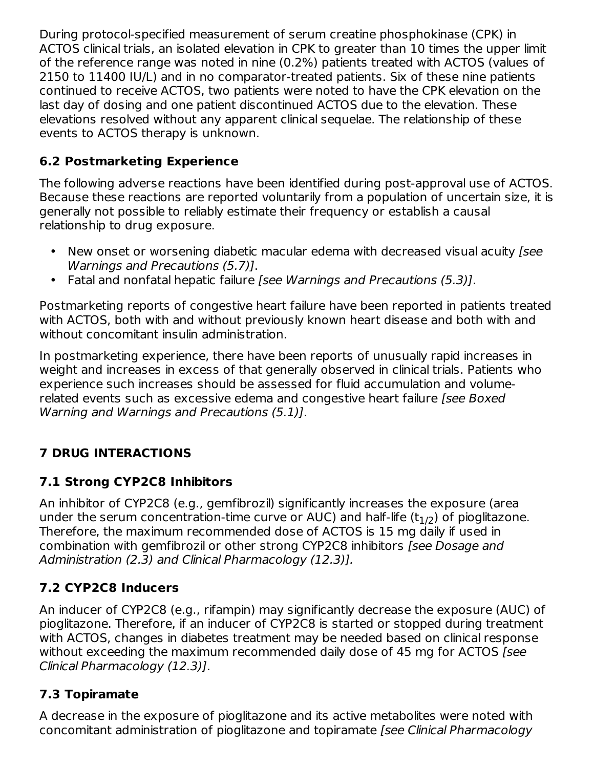During protocol-specified measurement of serum creatine phosphokinase (CPK) in ACTOS clinical trials, an isolated elevation in CPK to greater than 10 times the upper limit of the reference range was noted in nine (0.2%) patients treated with ACTOS (values of 2150 to 11400 IU/L) and in no comparator-treated patients. Six of these nine patients continued to receive ACTOS, two patients were noted to have the CPK elevation on the last day of dosing and one patient discontinued ACTOS due to the elevation. These elevations resolved without any apparent clinical sequelae. The relationship of these events to ACTOS therapy is unknown.

#### **6.2 Postmarketing Experience**

The following adverse reactions have been identified during post-approval use of ACTOS. Because these reactions are reported voluntarily from a population of uncertain size, it is generally not possible to reliably estimate their frequency or establish a causal relationship to drug exposure.

- New onset or worsening diabetic macular edema with decreased visual acuity [see Warnings and Precautions (5.7)].
- Fatal and nonfatal hepatic failure [see Warnings and Precautions (5.3)].

Postmarketing reports of congestive heart failure have been reported in patients treated with ACTOS, both with and without previously known heart disease and both with and without concomitant insulin administration.

In postmarketing experience, there have been reports of unusually rapid increases in weight and increases in excess of that generally observed in clinical trials. Patients who experience such increases should be assessed for fluid accumulation and volumerelated events such as excessive edema and congestive heart failure [see Boxed Warning and Warnings and Precautions (5.1)].

# **7 DRUG INTERACTIONS**

# **7.1 Strong CYP2C8 Inhibitors**

An inhibitor of CYP2C8 (e.g., gemfibrozil) significantly increases the exposure (area under the serum concentration-time curve or AUC) and half-life (t $_{\rm 1/2})$  of pioglitazone. Therefore, the maximum recommended dose of ACTOS is 15 mg daily if used in combination with gemfibrozil or other strong CYP2C8 inhibitors [see Dosage and Administration (2.3) and Clinical Pharmacology (12.3)].

# **7.2 CYP2C8 Inducers**

An inducer of CYP2C8 (e.g., rifampin) may significantly decrease the exposure (AUC) of pioglitazone. Therefore, if an inducer of CYP2C8 is started or stopped during treatment with ACTOS, changes in diabetes treatment may be needed based on clinical response without exceeding the maximum recommended daily dose of 45 mg for ACTOS [see Clinical Pharmacology (12.3)].

# **7.3 Topiramate**

A decrease in the exposure of pioglitazone and its active metabolites were noted with concomitant administration of pioglitazone and topiramate [see Clinical Pharmacology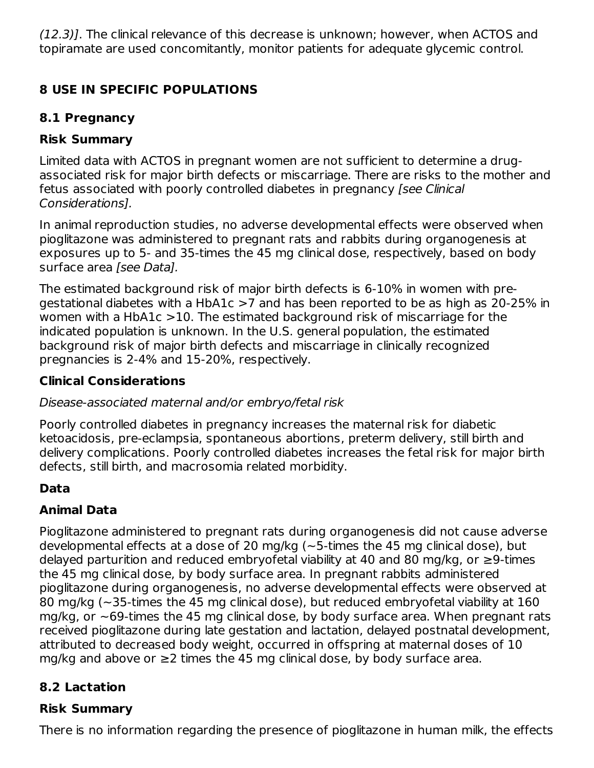(12.3)]. The clinical relevance of this decrease is unknown; however, when ACTOS and topiramate are used concomitantly, monitor patients for adequate glycemic control.

# **8 USE IN SPECIFIC POPULATIONS**

# **8.1 Pregnancy**

# **Risk Summary**

Limited data with ACTOS in pregnant women are not sufficient to determine a drugassociated risk for major birth defects or miscarriage. There are risks to the mother and fetus associated with poorly controlled diabetes in pregnancy [see Clinical Considerations].

In animal reproduction studies, no adverse developmental effects were observed when pioglitazone was administered to pregnant rats and rabbits during organogenesis at exposures up to 5- and 35-times the 45 mg clinical dose, respectively, based on body surface area [see Data].

The estimated background risk of major birth defects is 6-10% in women with pregestational diabetes with a HbA1c >7 and has been reported to be as high as 20-25% in women with a HbA1c >10. The estimated background risk of miscarriage for the indicated population is unknown. In the U.S. general population, the estimated background risk of major birth defects and miscarriage in clinically recognized pregnancies is 2-4% and 15-20%, respectively.

#### **Clinical Considerations**

#### Disease-associated maternal and/or embryo/fetal risk

Poorly controlled diabetes in pregnancy increases the maternal risk for diabetic ketoacidosis, pre-eclampsia, spontaneous abortions, preterm delivery, still birth and delivery complications. Poorly controlled diabetes increases the fetal risk for major birth defects, still birth, and macrosomia related morbidity.

#### **Data**

# **Animal Data**

Pioglitazone administered to pregnant rats during organogenesis did not cause adverse developmental effects at a dose of 20 mg/kg (~5-times the 45 mg clinical dose), but delayed parturition and reduced embryofetal viability at 40 and 80 mg/kg, or ≥9-times the 45 mg clinical dose, by body surface area. In pregnant rabbits administered pioglitazone during organogenesis, no adverse developmental effects were observed at 80 mg/kg (~35-times the 45 mg clinical dose), but reduced embryofetal viability at 160 mg/kg, or  $\sim$ 69-times the 45 mg clinical dose, by body surface area. When pregnant rats received pioglitazone during late gestation and lactation, delayed postnatal development, attributed to decreased body weight, occurred in offspring at maternal doses of 10 mg/kg and above or  $≥2$  times the 45 mg clinical dose, by body surface area.

# **8.2 Lactation**

# **Risk Summary**

There is no information regarding the presence of pioglitazone in human milk, the effects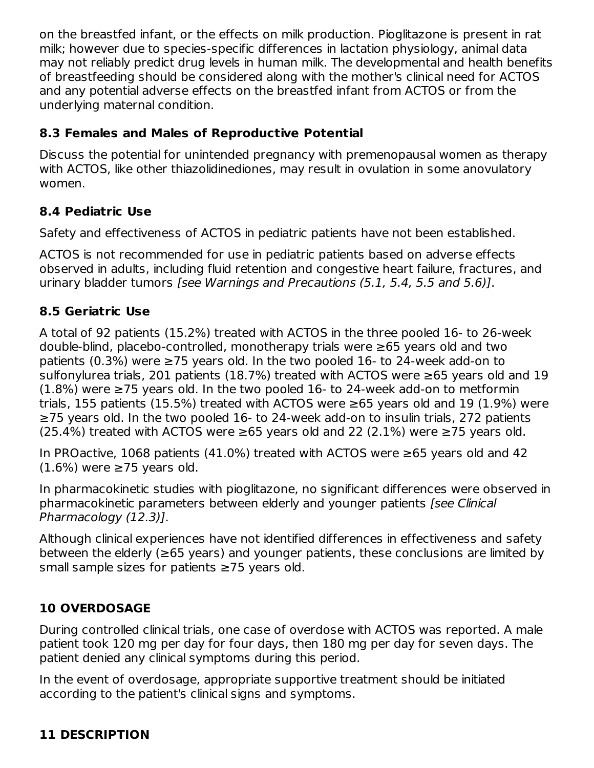on the breastfed infant, or the effects on milk production. Pioglitazone is present in rat milk; however due to species-specific differences in lactation physiology, animal data may not reliably predict drug levels in human milk. The developmental and health benefits of breastfeeding should be considered along with the mother's clinical need for ACTOS and any potential adverse effects on the breastfed infant from ACTOS or from the underlying maternal condition.

#### **8.3 Females and Males of Reproductive Potential**

Discuss the potential for unintended pregnancy with premenopausal women as therapy with ACTOS, like other thiazolidinediones, may result in ovulation in some anovulatory women.

#### **8.4 Pediatric Use**

Safety and effectiveness of ACTOS in pediatric patients have not been established.

ACTOS is not recommended for use in pediatric patients based on adverse effects observed in adults, including fluid retention and congestive heart failure, fractures, and urinary bladder tumors [see Warnings and Precautions (5.1, 5.4, 5.5 and 5.6)].

#### **8.5 Geriatric Use**

A total of 92 patients (15.2%) treated with ACTOS in the three pooled 16- to 26-week double-blind, placebo-controlled, monotherapy trials were ≥65 years old and two patients (0.3%) were  $≥75$  years old. In the two pooled 16- to 24-week add-on to sulfonylurea trials, 201 patients (18.7%) treated with ACTOS were ≥65 years old and 19  $(1.8\%)$  were  $\geq$ 75 years old. In the two pooled 16- to 24-week add-on to metformin trials, 155 patients (15.5%) treated with ACTOS were  $\geq$ 65 years old and 19 (1.9%) were ≥75 years old. In the two pooled 16- to 24-week add-on to insulin trials, 272 patients  $(25.4%)$  treated with ACTOS were  $\geq 65$  years old and 22 (2.1%) were  $\geq 75$  years old.

In PROactive, 1068 patients (41.0%) treated with ACTOS were ≥65 years old and 42  $(1.6\%)$  were  $\geq$ 75 years old.

In pharmacokinetic studies with pioglitazone, no significant differences were observed in pharmacokinetic parameters between elderly and younger patients [see Clinical Pharmacology (12.3)].

Although clinical experiences have not identified differences in effectiveness and safety between the elderly (≥65 years) and younger patients, these conclusions are limited by small sample sizes for patients  $\geq$ 75 years old.

#### **10 OVERDOSAGE**

During controlled clinical trials, one case of overdose with ACTOS was reported. A male patient took 120 mg per day for four days, then 180 mg per day for seven days. The patient denied any clinical symptoms during this period.

In the event of overdosage, appropriate supportive treatment should be initiated according to the patient's clinical signs and symptoms.

#### **11 DESCRIPTION**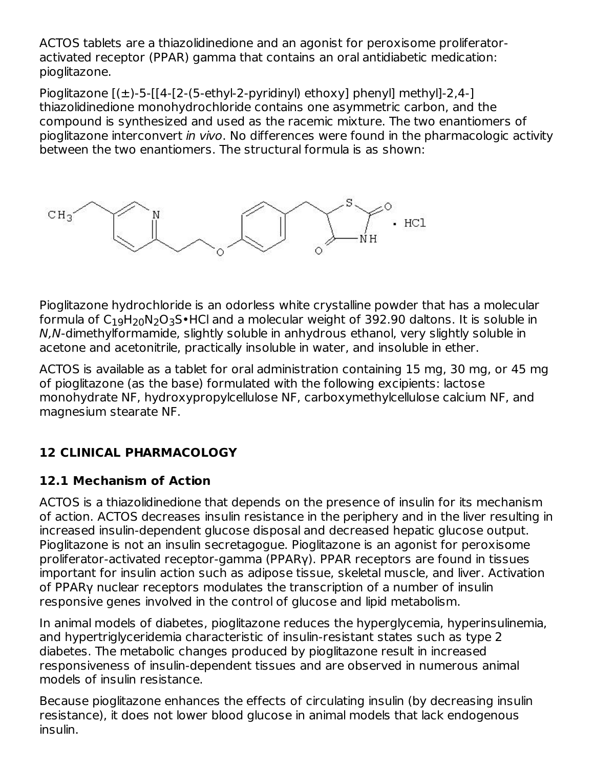ACTOS tablets are a thiazolidinedione and an agonist for peroxisome proliferatoractivated receptor (PPAR) gamma that contains an oral antidiabetic medication: pioglitazone.

Pioglitazone  $[(\pm)$ -5- $[4$ - $[2$ - $(5$ -ethyl-2-pyridinyl) ethoxy] phenyl] methyl]-2,4-] thiazolidinedione monohydrochloride contains one asymmetric carbon, and the compound is synthesized and used as the racemic mixture. The two enantiomers of pioglitazone interconvert in vivo. No differences were found in the pharmacologic activity between the two enantiomers. The structural formula is as shown:



Pioglitazone hydrochloride is an odorless white crystalline powder that has a molecular formula of  $\mathsf{C}_1$ 9H $_{20}$ N $_{2}$ O $_{3}$ S•HCl and a molecular weight of 392.90 daltons. It is soluble in N,N-dimethylformamide, slightly soluble in anhydrous ethanol, very slightly soluble in acetone and acetonitrile, practically insoluble in water, and insoluble in ether.

ACTOS is available as a tablet for oral administration containing 15 mg, 30 mg, or 45 mg of pioglitazone (as the base) formulated with the following excipients: lactose monohydrate NF, hydroxypropylcellulose NF, carboxymethylcellulose calcium NF, and magnesium stearate NF.

# **12 CLINICAL PHARMACOLOGY**

#### **12.1 Mechanism of Action**

ACTOS is a thiazolidinedione that depends on the presence of insulin for its mechanism of action. ACTOS decreases insulin resistance in the periphery and in the liver resulting in increased insulin-dependent glucose disposal and decreased hepatic glucose output. Pioglitazone is not an insulin secretagogue. Pioglitazone is an agonist for peroxisome proliferator-activated receptor-gamma (PPARγ). PPAR receptors are found in tissues important for insulin action such as adipose tissue, skeletal muscle, and liver. Activation of PPARγ nuclear receptors modulates the transcription of a number of insulin responsive genes involved in the control of glucose and lipid metabolism.

In animal models of diabetes, pioglitazone reduces the hyperglycemia, hyperinsulinemia, and hypertriglyceridemia characteristic of insulin-resistant states such as type 2 diabetes. The metabolic changes produced by pioglitazone result in increased responsiveness of insulin-dependent tissues and are observed in numerous animal models of insulin resistance.

Because pioglitazone enhances the effects of circulating insulin (by decreasing insulin resistance), it does not lower blood glucose in animal models that lack endogenous insulin.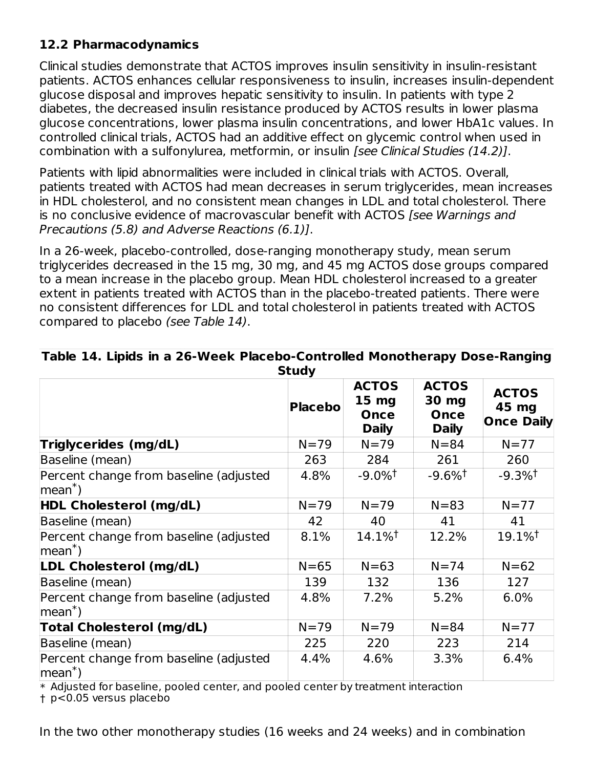#### **12.2 Pharmacodynamics**

Clinical studies demonstrate that ACTOS improves insulin sensitivity in insulin-resistant patients. ACTOS enhances cellular responsiveness to insulin, increases insulin-dependent glucose disposal and improves hepatic sensitivity to insulin. In patients with type 2 diabetes, the decreased insulin resistance produced by ACTOS results in lower plasma glucose concentrations, lower plasma insulin concentrations, and lower HbA1c values. In controlled clinical trials, ACTOS had an additive effect on glycemic control when used in combination with a sulfonylurea, metformin, or insulin [see Clinical Studies (14.2)].

Patients with lipid abnormalities were included in clinical trials with ACTOS. Overall, patients treated with ACTOS had mean decreases in serum triglycerides, mean increases in HDL cholesterol, and no consistent mean changes in LDL and total cholesterol. There is no conclusive evidence of macrovascular benefit with ACTOS *[see Warnings and* Precautions (5.8) and Adverse Reactions (6.1)].

In a 26-week, placebo-controlled, dose-ranging monotherapy study, mean serum triglycerides decreased in the 15 mg, 30 mg, and 45 mg ACTOS dose groups compared to a mean increase in the placebo group. Mean HDL cholesterol increased to a greater extent in patients treated with ACTOS than in the placebo-treated patients. There were no consistent differences for LDL and total cholesterol in patients treated with ACTOS compared to placebo (see Table 14).

| <b>Study</b>                                                                                        |                |                                                          |                                               |                                            |  |
|-----------------------------------------------------------------------------------------------------|----------------|----------------------------------------------------------|-----------------------------------------------|--------------------------------------------|--|
|                                                                                                     | <b>Placebo</b> | <b>ACTOS</b><br>15 <sub>mg</sub><br>Once<br><b>Daily</b> | <b>ACTOS</b><br>30 mg<br>Once<br><b>Daily</b> | <b>ACTOS</b><br>45 mg<br><b>Once Daily</b> |  |
| Triglycerides (mg/dL)                                                                               | $N = 79$       | $N = 79$                                                 | $N = 84$                                      | $N=77$                                     |  |
| Baseline (mean)                                                                                     | 263            | 284                                                      | 261                                           | 260                                        |  |
| Percent change from baseline (adjusted<br>$ mean^*)$                                                | 4.8%           | $-9.0\%$ <sup>†</sup>                                    | $-9.6\%$ <sup>†</sup>                         | $-9.3\%$ <sup>†</sup>                      |  |
| <b>HDL Cholesterol (mg/dL)</b>                                                                      | $N = 79$       | $N = 79$                                                 | $N = 83$                                      | $N=77$                                     |  |
| Baseline (mean)                                                                                     | 42             | 40                                                       | 41                                            | 41                                         |  |
| Percent change from baseline (adjusted<br>$ mean^*)$                                                | 8.1%           | $14.1\%$ <sup>†</sup>                                    | 12.2%                                         | $19.1\%$ <sup>†</sup>                      |  |
| LDL Cholesterol (mg/dL)                                                                             | $N = 65$       | $N = 63$                                                 | $N = 74$                                      | $N = 62$                                   |  |
| Baseline (mean)                                                                                     | 139            | 132                                                      | 136                                           | 127                                        |  |
| Percent change from baseline (adjusted<br>$ mean^*)$                                                | 4.8%           | 7.2%                                                     | 5.2%                                          | 6.0%                                       |  |
| <b>Total Cholesterol (mg/dL)</b>                                                                    | $N = 79$       | $N = 79$                                                 | $N = 84$                                      | $N = 77$                                   |  |
| Baseline (mean)                                                                                     | 225            | 220                                                      | 223                                           | 214                                        |  |
| Percent change from baseline (adjusted<br>$ mean^*)$<br><b>ALC 1</b><br>$\sim$ $\sim$ $\sim$ $\sim$ | 4.4%           | 4.6%                                                     | $3.3\%$                                       | 6.4%                                       |  |

#### **Table 14. Lipids in a 26-Week Placebo-Controlled Monotherapy Dose-Ranging Study**

 $\hspace{0.1mm}^*$  Adjusted for baseline, pooled center, and pooled center by treatment interaction

† p<0.05 versus placebo

In the two other monotherapy studies (16 weeks and 24 weeks) and in combination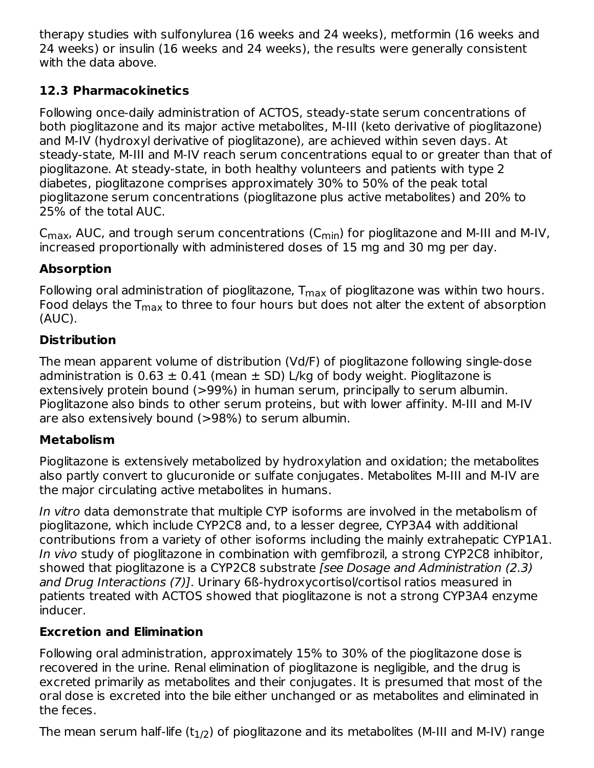therapy studies with sulfonylurea (16 weeks and 24 weeks), metformin (16 weeks and 24 weeks) or insulin (16 weeks and 24 weeks), the results were generally consistent with the data above.

# **12.3 Pharmacokinetics**

Following once-daily administration of ACTOS, steady-state serum concentrations of both pioglitazone and its major active metabolites, M-III (keto derivative of pioglitazone) and M-IV (hydroxyl derivative of pioglitazone), are achieved within seven days. At steady-state, M-III and M-IV reach serum concentrations equal to or greater than that of pioglitazone. At steady-state, in both healthy volunteers and patients with type 2 diabetes, pioglitazone comprises approximately 30% to 50% of the peak total pioglitazone serum concentrations (pioglitazone plus active metabolites) and 20% to 25% of the total AUC.

C<sub>max</sub>, AUC, and trough serum concentrations (C<sub>min</sub>) for pioglitazone and M-III and M-IV, increased proportionally with administered doses of 15 mg and 30 mg per day.

# **Absorption**

Following oral administration of pioglitazone,  $\mathsf{T}_{\mathsf{max}}$  of pioglitazone was within two hours. Food delays the T $_{\sf max}$  to three to four hours but does not alter the extent of absorption (AUC).

# **Distribution**

The mean apparent volume of distribution (Vd/F) of pioglitazone following single-dose administration is  $0.63 \pm 0.41$  (mean  $\pm$  SD) L/kg of body weight. Pioglitazone is extensively protein bound (>99%) in human serum, principally to serum albumin. Pioglitazone also binds to other serum proteins, but with lower affinity. M-III and M-IV are also extensively bound (>98%) to serum albumin.

#### **Metabolism**

Pioglitazone is extensively metabolized by hydroxylation and oxidation; the metabolites also partly convert to glucuronide or sulfate conjugates. Metabolites M-III and M-IV are the major circulating active metabolites in humans.

In vitro data demonstrate that multiple CYP isoforms are involved in the metabolism of pioglitazone, which include CYP2C8 and, to a lesser degree, CYP3A4 with additional contributions from a variety of other isoforms including the mainly extrahepatic CYP1A1. In vivo study of pioglitazone in combination with gemfibrozil, a strong CYP2C8 inhibitor, showed that pioglitazone is a CYP2C8 substrate *[see Dosage and Administration (2.3)* and Drug Interactions (7)]. Urinary 6ß-hydroxycortisol/cortisol ratios measured in patients treated with ACTOS showed that pioglitazone is not a strong CYP3A4 enzyme inducer.

#### **Excretion and Elimination**

Following oral administration, approximately 15% to 30% of the pioglitazone dose is recovered in the urine. Renal elimination of pioglitazone is negligible, and the drug is excreted primarily as metabolites and their conjugates. It is presumed that most of the oral dose is excreted into the bile either unchanged or as metabolites and eliminated in the feces.

The mean serum half-life (t $_{\rm 1/2}$ ) of pioglitazone and its metabolites (M-III and M-IV) range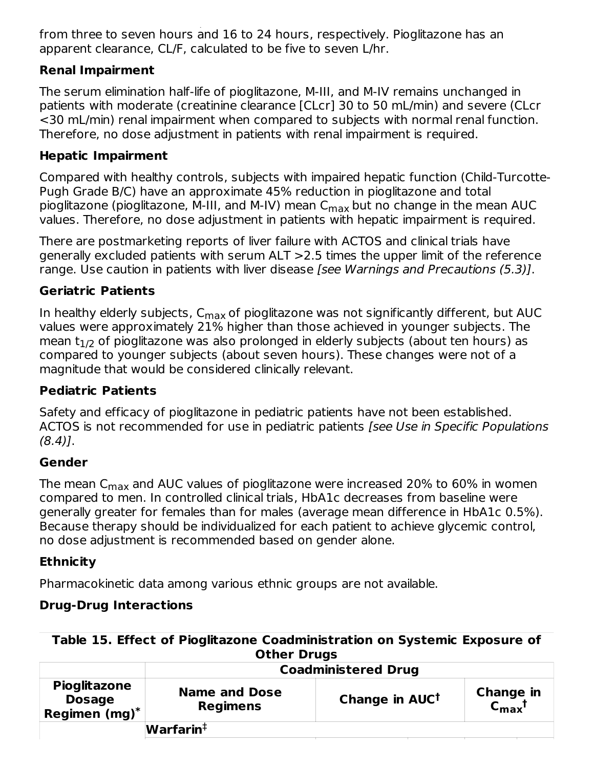from three to seven hours and 16 to 24 hours, respectively. Pioglitazone has an apparent clearance, CL/F, calculated to be five to seven L/hr. 1/2

#### **Renal Impairment**

The serum elimination half-life of pioglitazone, M-III, and M-IV remains unchanged in patients with moderate (creatinine clearance [CLcr] 30 to 50 mL/min) and severe (CLcr <30 mL/min) renal impairment when compared to subjects with normal renal function. Therefore, no dose adjustment in patients with renal impairment is required.

#### **Hepatic Impairment**

Compared with healthy controls, subjects with impaired hepatic function (Child-Turcotte-Pugh Grade B/C) have an approximate 45% reduction in pioglitazone and total pioglitazone (pioglitazone, M-III, and M-IV) mean C<sub>max</sub> but no change in the mean AUC values. Therefore, no dose adjustment in patients with hepatic impairment is required.

There are postmarketing reports of liver failure with ACTOS and clinical trials have generally excluded patients with serum ALT >2.5 times the upper limit of the reference range. Use caution in patients with liver disease [see Warnings and Precautions (5.3)].

#### **Geriatric Patients**

In healthy elderly subjects, C<sub>max</sub> of pioglitazone was not significantly different, but AUC values were approximately 21% higher than those achieved in younger subjects. The mean  $\rm t_{1/2}$  of pioglitazone was also prolonged in elderly subjects (about ten hours) as compared to younger subjects (about seven hours). These changes were not of a magnitude that would be considered clinically relevant.

#### **Pediatric Patients**

Safety and efficacy of pioglitazone in pediatric patients have not been established. ACTOS is not recommended for use in pediatric patients [see Use in Specific Populations  $(8.4)$ .

#### **Gender**

The mean C $_{\sf max}$  and AUC values of pioglitazone were increased 20% to 60% in women compared to men. In controlled clinical trials, HbA1c decreases from baseline were generally greater for females than for males (average mean difference in HbA1c 0.5%). Because therapy should be individualized for each patient to achieve glycemic control, no dose adjustment is recommended based on gender alone.

#### **Ethnicity**

Pharmacokinetic data among various ethnic groups are not available.

#### **Drug-Drug Interactions**

| Table 15. Effect of Pioglitazone Coadministration on Systemic Exposure of |
|---------------------------------------------------------------------------|
| <b>Other Drugs</b>                                                        |
|                                                                           |

|                                                       | <b>Coadministered Drug</b>              |                            |                                            |  |
|-------------------------------------------------------|-----------------------------------------|----------------------------|--------------------------------------------|--|
| <b>Pioglitazone</b><br><b>Dosage</b><br>Regimen (mg)* | <b>Name and Dose</b><br><b>Regimens</b> | Change in AUC <sup>t</sup> | Change in<br>$C_{\text{max}}$ <sup>1</sup> |  |
|                                                       | $Warfar †$                              |                            |                                            |  |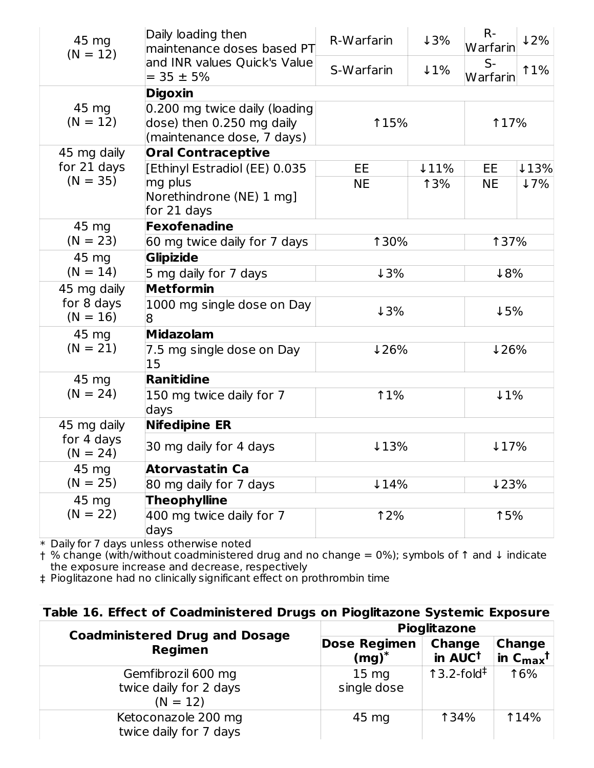| 45 mg<br>$(N = 12)$      | Daily loading then<br>maintenance doses based PT<br>and INR values Quick's Value<br>$= 35 \pm 5\%$ | R-Warfarin       | 13%              | $R-$<br><b>Warfarin</b> | 12%        |
|--------------------------|----------------------------------------------------------------------------------------------------|------------------|------------------|-------------------------|------------|
|                          |                                                                                                    | S-Warfarin       | $\downarrow$ 1%  | $S-$<br>Warfarin        | <b>11%</b> |
|                          | <b>Digoxin</b>                                                                                     |                  |                  |                         |            |
| 45 mg<br>$(N = 12)$      | 0.200 mg twice daily (loading<br>dose) then 0.250 mg daily<br>(maintenance dose, 7 days)           | <b>115%</b>      |                  | <b>117%</b>             |            |
| 45 mg daily              | <b>Oral Contraceptive</b>                                                                          |                  |                  |                         |            |
| for 21 days              | [Ethinyl Estradiol (EE) 0.035                                                                      | EE               | $\downarrow$ 11% | EE                      | 13%        |
| $(N = 35)$               | mg plus<br>Norethindrone (NE) 1 mg]<br>for 21 days                                                 | <b>NE</b>        | <b>13%</b>       | <b>NE</b>               | 17%        |
| 45 mg                    | <b>Fexofenadine</b>                                                                                |                  |                  |                         |            |
| $(N = 23)$               | 60 mg twice daily for 7 days                                                                       | <b>130%</b>      |                  | <b>137%</b>             |            |
| 45 mg                    | <b>Glipizide</b>                                                                                   | $\downarrow$ 3%  |                  |                         |            |
| $(N = 14)$               | 5 mg daily for 7 days                                                                              |                  |                  | 18%                     |            |
| 45 mg daily              | <b>Metformin</b>                                                                                   |                  |                  |                         |            |
| for 8 days<br>$(N = 16)$ | 1000 mg single dose on Day<br>8                                                                    | 13%              |                  | $\downarrow$ 5%         |            |
| 45 mg                    | <b>Midazolam</b>                                                                                   |                  |                  |                         |            |
| $(N = 21)$               | 7.5 mg single dose on Day<br>15                                                                    | 126%             |                  | 126%                    |            |
| 45 mg                    | <b>Ranitidine</b>                                                                                  |                  |                  |                         |            |
| $(N = 24)$               | 150 mg twice daily for 7<br>days                                                                   | <b>11%</b>       |                  | $1\%$                   |            |
| 45 mg daily              | <b>Nifedipine ER</b>                                                                               |                  |                  |                         |            |
| for 4 days<br>$(N = 24)$ | 30 mg daily for 4 days                                                                             | 13%              |                  | 17%                     |            |
| 45 mg                    | <b>Atorvastatin Ca</b>                                                                             |                  |                  |                         |            |
| $(N = 25)$               | 80 mg daily for 7 days                                                                             | $\downarrow$ 14% |                  | ↓23%                    |            |
| 45 mg                    | <b>Theophylline</b>                                                                                |                  |                  |                         |            |
| $(N = 22)$               | 400 mg twice daily for 7<br>days                                                                   | <b>12%</b>       |                  | 15%                     |            |

\* Daily for 7 days unless otherwise noted

† % change (with/without coadministered drug and no change = 0%); symbols of  $\uparrow$  and  $\downarrow$  indicate the exposure increase and decrease, respectively

‡ Pioglitazone had no clinically significant effect on prothrombin time

#### **Table 16. Effect of Coadministered Drugs on Pioglitazone Systemic Exposure**

| <b>Coadministered Drug and Dosage</b>                      | <b>Pioglitazone</b>             |                               |                                                |  |
|------------------------------------------------------------|---------------------------------|-------------------------------|------------------------------------------------|--|
| <b>Regimen</b>                                             | <b>Dose Regimen</b><br>$(mg)^*$ | Change<br>in AUC <sup>t</sup> | <b>Change</b><br>in $C_{\rm max}$ <sup>t</sup> |  |
| Gemfibrozil 600 mg<br>twice daily for 2 days<br>$(N = 12)$ | $15 \text{ mg}$<br>single dose  | $13.2-fold^{\ddagger}$        | 16%                                            |  |
| Ketoconazole 200 mg<br>twice daily for 7 days              | 45 mg                           | <b>134%</b>                   | <b>114%</b>                                    |  |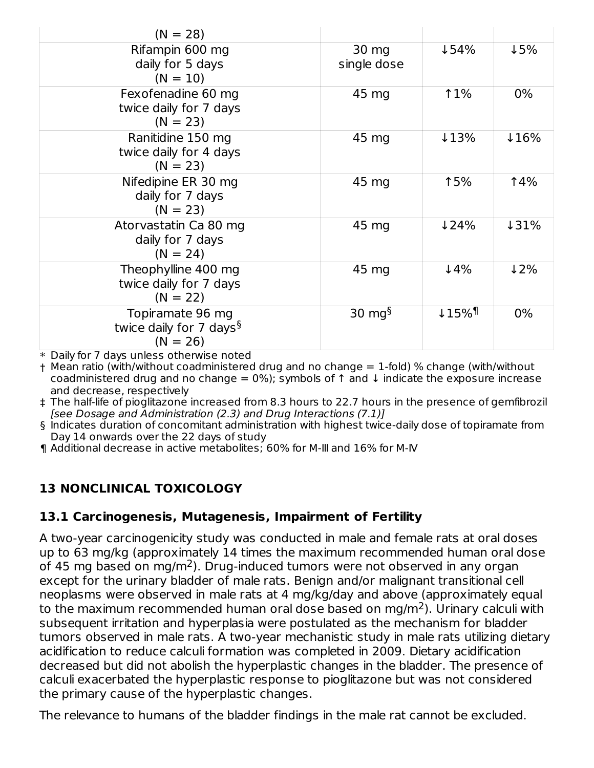| $(N = 28)$                                                            |                      |                                    |            |
|-----------------------------------------------------------------------|----------------------|------------------------------------|------------|
| Rifampin 600 mg<br>daily for 5 days<br>$(N = 10)$                     | 30 mg<br>single dose | 154%                               | 15%        |
| Fexofenadine 60 mg<br>twice daily for 7 days<br>$(N = 23)$            | 45 mg                | $1\%$                              | $0\%$      |
| Ranitidine 150 mg<br>twice daily for 4 days<br>$(N = 23)$             | 45 mg                | ↓13%                               | 116%       |
| Nifedipine ER 30 mg<br>daily for 7 days<br>$(N = 23)$                 | 45 mg                | 15%                                | <b>14%</b> |
| Atorvastatin Ca 80 mg<br>daily for 7 days<br>$(N = 24)$               | 45 mg                | 124%                               | ↓31%       |
| Theophylline 400 mg<br>twice daily for 7 days<br>$(N = 22)$           | 45 mg                | $4\%$                              | 12%        |
| Topiramate 96 mg<br>twice daily for 7 days <sup>§</sup><br>$(N = 26)$ | 30 mg $\frac{5}{3}$  | $\text{15\%}^{\text{\textdegree}}$ | $0\%$      |

\* Daily for 7 days unless otherwise noted

† Mean ratio (with/without coadministered drug and no change = 1-fold) % change (with/without coadministered drug and no change = 0%); symbols of  $\uparrow$  and  $\downarrow$  indicate the exposure increase and decrease, respectively

‡ The half-life of pioglitazone increased from 8.3 hours to 22.7 hours in the presence of gemfibrozil [see Dosage and Administration (2.3) and Drug Interactions (7.1)]

§ Indicates duration of concomitant administration with highest twice-daily dose of topiramate from Day 14 onwards over the 22 days of study

¶ Additional decrease in active metabolites; 60% for M-III and 16% for M-IV

#### **13 NONCLINICAL TOXICOLOGY**

#### **13.1 Carcinogenesis, Mutagenesis, Impairment of Fertility**

A two-year carcinogenicity study was conducted in male and female rats at oral doses up to 63 mg/kg (approximately 14 times the maximum recommended human oral dose of 45 mg based on mg/m<sup>2</sup>). Drug-induced tumors were not observed in any organ except for the urinary bladder of male rats. Benign and/or malignant transitional cell neoplasms were observed in male rats at 4 mg/kg/day and above (approximately equal to the maximum recommended human oral dose based on mg/m<sup>2</sup>). Urinary calculi with subsequent irritation and hyperplasia were postulated as the mechanism for bladder tumors observed in male rats. A two-year mechanistic study in male rats utilizing dietary acidification to reduce calculi formation was completed in 2009. Dietary acidification decreased but did not abolish the hyperplastic changes in the bladder. The presence of calculi exacerbated the hyperplastic response to pioglitazone but was not considered the primary cause of the hyperplastic changes.

The relevance to humans of the bladder findings in the male rat cannot be excluded.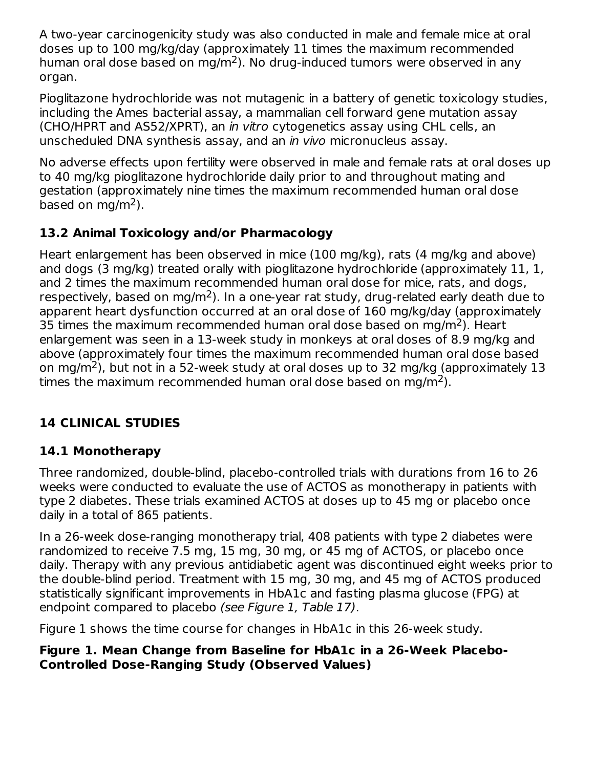A two-year carcinogenicity study was also conducted in male and female mice at oral doses up to 100 mg/kg/day (approximately 11 times the maximum recommended human oral dose based on mg/m<sup>2</sup>). No drug-induced tumors were observed in any organ.

Pioglitazone hydrochloride was not mutagenic in a battery of genetic toxicology studies, including the Ames bacterial assay, a mammalian cell forward gene mutation assay (CHO/HPRT and AS52/XPRT), an in vitro cytogenetics assay using CHL cells, an unscheduled DNA synthesis assay, and an in vivo micronucleus assay.

No adverse effects upon fertility were observed in male and female rats at oral doses up to 40 mg/kg pioglitazone hydrochloride daily prior to and throughout mating and gestation (approximately nine times the maximum recommended human oral dose based on mg/m<sup>2</sup>).

#### **13.2 Animal Toxicology and/or Pharmacology**

Heart enlargement has been observed in mice (100 mg/kg), rats (4 mg/kg and above) and dogs (3 mg/kg) treated orally with pioglitazone hydrochloride (approximately 11, 1, and 2 times the maximum recommended human oral dose for mice, rats, and dogs, respectively, based on mg/m<sup>2</sup>). In a one-year rat study, drug-related early death due to apparent heart dysfunction occurred at an oral dose of 160 mg/kg/day (approximately 35 times the maximum recommended human oral dose based on  $mg/m<sup>2</sup>$ ). Heart enlargement was seen in a 13-week study in monkeys at oral doses of 8.9 mg/kg and above (approximately four times the maximum recommended human oral dose based on mg/m<sup>2</sup>), but not in a 52-week study at oral doses up to 32 mg/kg (approximately 13 times the maximum recommended human oral dose based on mg/m<sup>2</sup>).

# **14 CLINICAL STUDIES**

#### **14.1 Monotherapy**

Three randomized, double-blind, placebo-controlled trials with durations from 16 to 26 weeks were conducted to evaluate the use of ACTOS as monotherapy in patients with type 2 diabetes. These trials examined ACTOS at doses up to 45 mg or placebo once daily in a total of 865 patients.

In a 26-week dose-ranging monotherapy trial, 408 patients with type 2 diabetes were randomized to receive 7.5 mg, 15 mg, 30 mg, or 45 mg of ACTOS, or placebo once daily. Therapy with any previous antidiabetic agent was discontinued eight weeks prior to the double-blind period. Treatment with 15 mg, 30 mg, and 45 mg of ACTOS produced statistically significant improvements in HbA1c and fasting plasma glucose (FPG) at endpoint compared to placebo (see Figure 1, Table 17).

Figure 1 shows the time course for changes in HbA1c in this 26-week study.

#### **Figure 1. Mean Change from Baseline for HbA1c in a 26-Week Placebo-Controlled Dose-Ranging Study (Observed Values)**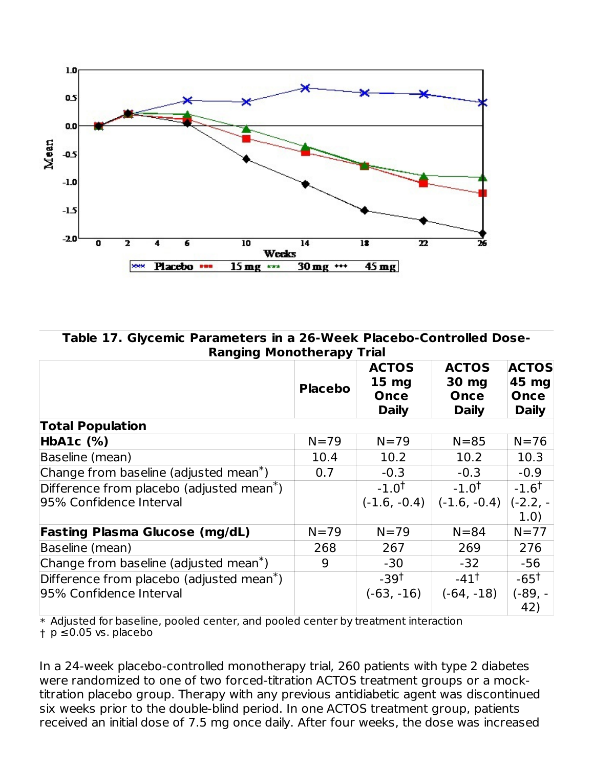

| Table 17. Glycemic Parameters in a 26-Week Placebo-Controlled Dose- |
|---------------------------------------------------------------------|
| <b>Ranging Monotherapy Trial</b>                                    |

|                                                       | <b>Placebo</b> | <b>ACTOS</b><br>15 <sub>mg</sub><br>Once<br><b>Daily</b> | <b>ACTOS</b><br>30 mg<br>Once<br><b>Daily</b> | <b>ACTOS</b><br>45 mg<br>Once<br><b>Daily</b> |
|-------------------------------------------------------|----------------|----------------------------------------------------------|-----------------------------------------------|-----------------------------------------------|
| <b>Total Population</b>                               |                |                                                          |                                               |                                               |
| $HbA1c$ (%)                                           | $N = 79$       | $N = 79$                                                 | $N = 85$                                      | $N = 76$                                      |
| Baseline (mean)                                       | 10.4           | 10.2                                                     | 10.2                                          | 10.3                                          |
| Change from baseline (adjusted mean <sup>*</sup> )    | 0.7            | $-0.3$                                                   | $-0.3$                                        | $-0.9$                                        |
| Difference from placebo (adjusted mean <sup>*</sup> ) |                | $-1.0^{+}$                                               | $-1.0^{\dagger}$                              | $-1.6^{\dagger}$                              |
| 95% Confidence Interval                               |                | $(-1.6, -0.4)$                                           | $(-1.6, -0.4)$                                | $(-2.2, -$                                    |
|                                                       |                |                                                          |                                               | 1.0)                                          |
| <b>Fasting Plasma Glucose (mg/dL)</b>                 | $N = 79$       | $N = 79$                                                 | $N = 84$                                      | $N = 77$                                      |
| Baseline (mean)                                       | 268            | 267                                                      | 269                                           | 276                                           |
| Change from baseline (adjusted mean <sup>*</sup> )    | 9              | $-30$                                                    | $-32$                                         | $-56$                                         |
| Difference from placebo (adjusted mean <sup>*</sup> ) |                | $-39†$                                                   | $-41^{\dagger}$                               | $-65^{\dagger}$                               |
| 95% Confidence Interval                               |                | $(-63, -16)$                                             | $(-64, -18)$                                  | $(-89, -$                                     |
|                                                       |                |                                                          |                                               | 42)                                           |

 $\hspace{0.1mm}^*$  Adjusted for baseline, pooled center, and pooled center by treatment interaction † p ≤0.05 vs. placebo

In a 24-week placebo-controlled monotherapy trial, 260 patients with type 2 diabetes were randomized to one of two forced-titration ACTOS treatment groups or a mocktitration placebo group. Therapy with any previous antidiabetic agent was discontinued six weeks prior to the double-blind period. In one ACTOS treatment group, patients received an initial dose of 7.5 mg once daily. After four weeks, the dose was increased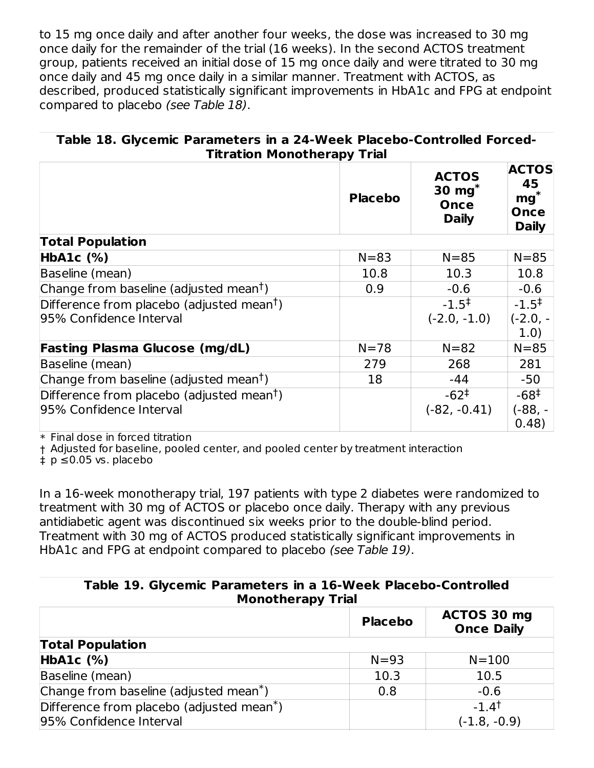to 15 mg once daily and after another four weeks, the dose was increased to 30 mg once daily for the remainder of the trial (16 weeks). In the second ACTOS treatment group, patients received an initial dose of 15 mg once daily and were titrated to 30 mg once daily and 45 mg once daily in a similar manner. Treatment with ACTOS, as described, produced statistically significant improvements in HbA1c and FPG at endpoint compared to placebo (see Table 18).

| Table 18. Glycemic Parameters in a 24-Week Placebo-Controlled Forced- |
|-----------------------------------------------------------------------|
| <b>Titration Monotherapy Trial</b>                                    |

|                                                                                  | <b>Placebo</b> | <b>ACTOS</b><br>30 $mg^*$<br>Once<br><b>Daily</b> | <b>ACTOS</b><br>45<br>$mg^*$<br>Once<br><b>Daily</b> |
|----------------------------------------------------------------------------------|----------------|---------------------------------------------------|------------------------------------------------------|
| <b>Total Population</b>                                                          |                |                                                   |                                                      |
| $HbA1c$ (%)                                                                      | $N = 83$       | $N = 85$                                          | $N = 85$                                             |
| Baseline (mean)                                                                  | 10.8           | 10.3                                              | 10.8                                                 |
| Change from baseline (adjusted mean <sup>t</sup> )                               | 0.9            | $-0.6$                                            | $-0.6$                                               |
| Difference from placebo (adjusted mean <sup>†</sup> )<br>95% Confidence Interval |                | $-1.5^+$<br>$(-2.0, -1.0)$                        | $-1.5^{\ddagger}$<br>$(-2.0, -$<br>1.0)              |
| <b>Fasting Plasma Glucose (mg/dL)</b>                                            | $N = 78$       | $N = 82$                                          | $N = 85$                                             |
| Baseline (mean)                                                                  | 279            | 268                                               | 281                                                  |
| Change from baseline (adjusted mean <sup>t</sup> )                               | 18             | $-44$                                             | $-50$                                                |
| Difference from placebo (adjusted mean <sup>†</sup> )<br>95% Confidence Interval |                | $-62^{\ddagger}$<br>$(-82, -0.41)$                | $-68†$<br>$(-88, -$<br>0.48)                         |

\* Final dose in forced titration

† Adjusted for baseline, pooled center, and pooled center by treatment interaction

‡ p ≤0.05 vs. placebo

In a 16-week monotherapy trial, 197 patients with type 2 diabetes were randomized to treatment with 30 mg of ACTOS or placebo once daily. Therapy with any previous antidiabetic agent was discontinued six weeks prior to the double-blind period. Treatment with 30 mg of ACTOS produced statistically significant improvements in HbA1c and FPG at endpoint compared to placebo (see Table 19).

| Table 19. Glycemic Parameters in a 16-Week Placebo-Controlled |
|---------------------------------------------------------------|
| <b>Monotherapy Trial</b>                                      |

|                                                       | <b>Placebo</b> | ACTOS 30 mg<br><b>Once Daily</b> |
|-------------------------------------------------------|----------------|----------------------------------|
| <b>Total Population</b>                               |                |                                  |
| $HbA1c$ (%)                                           | $N = 93$       | $N = 100$                        |
| Baseline (mean)                                       | 10.3           | 10.5                             |
| Change from baseline (adjusted mean <sup>*</sup> )    | 0.8            | $-0.6$                           |
| Difference from placebo (adjusted mean <sup>*</sup> ) |                | $-1.4^{\dagger}$                 |
| 95% Confidence Interval                               |                | $(-1.8, -0.9)$                   |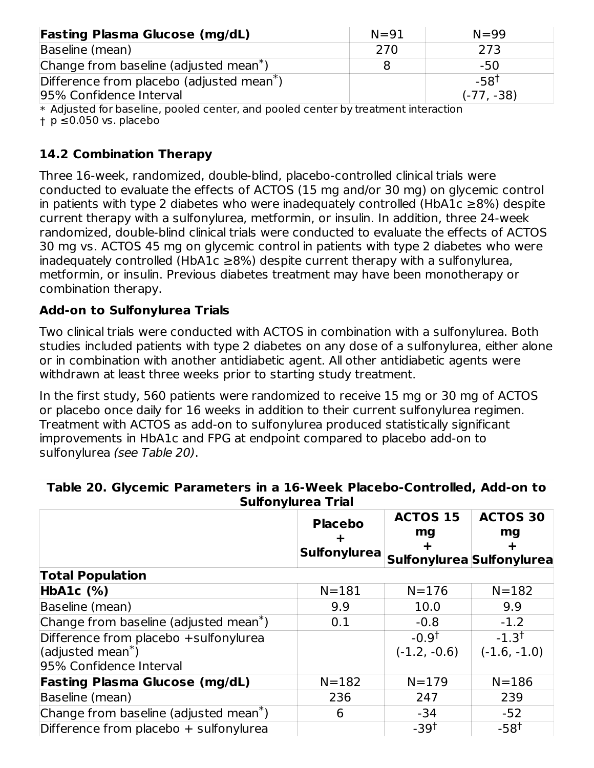| <b>Fasting Plasma Glucose (mg/dL)</b>                 | $N = 91$ | $N = 99$           |
|-------------------------------------------------------|----------|--------------------|
| Baseline (mean)                                       | 270      | 273                |
| Change from baseline (adjusted mean <sup>*</sup> )    |          | -50                |
| Difference from placebo (adjusted mean <sup>*</sup> ) |          | $-58$ <sup>†</sup> |
| 95% Confidence Interval                               |          | $(-77, -38)$       |

 $\hspace{0.1mm}^*$  Adjusted for baseline, pooled center, and pooled center by treatment interaction

† p ≤0.050 vs. placebo

#### **14.2 Combination Therapy**

Three 16-week, randomized, double-blind, placebo-controlled clinical trials were conducted to evaluate the effects of ACTOS (15 mg and/or 30 mg) on glycemic control in patients with type 2 diabetes who were inadequately controlled (HbA1c ≥8%) despite current therapy with a sulfonylurea, metformin, or insulin. In addition, three 24-week randomized, double-blind clinical trials were conducted to evaluate the effects of ACTOS 30 mg vs. ACTOS 45 mg on glycemic control in patients with type 2 diabetes who were inadequately controlled (HbA1c ≥8%) despite current therapy with a sulfonylurea, metformin, or insulin. Previous diabetes treatment may have been monotherapy or combination therapy.

#### **Add-on to Sulfonylurea Trials**

Two clinical trials were conducted with ACTOS in combination with a sulfonylurea. Both studies included patients with type 2 diabetes on any dose of a sulfonylurea, either alone or in combination with another antidiabetic agent. All other antidiabetic agents were withdrawn at least three weeks prior to starting study treatment.

In the first study, 560 patients were randomized to receive 15 mg or 30 mg of ACTOS or placebo once daily for 16 weeks in addition to their current sulfonylurea regimen. Treatment with ACTOS as add-on to sulfonylurea produced statistically significant improvements in HbA1c and FPG at endpoint compared to placebo add-on to sulfonylurea (see Table 20).

| <b>Sulfonylurea Trial</b>                                                                         |                                |                           |                                                    |  |  |  |
|---------------------------------------------------------------------------------------------------|--------------------------------|---------------------------|----------------------------------------------------|--|--|--|
|                                                                                                   | <b>Placebo</b><br>Sulfonylurea | <b>ACTOS 15</b><br>mg     | <b>ACTOS 30</b><br>mg<br>Sulfonylurea Sulfonylurea |  |  |  |
| <b>Total Population</b>                                                                           |                                |                           |                                                    |  |  |  |
| $HbA1c$ (%)                                                                                       | $N = 181$                      | $N = 176$                 | $N = 182$                                          |  |  |  |
| Baseline (mean)                                                                                   | 9.9                            | 10.0                      | 9.9                                                |  |  |  |
| Change from baseline (adjusted mean <sup>*</sup> )                                                | 0.1                            | $-0.8$                    | $-1.2$                                             |  |  |  |
| Difference from placebo +sulfonylurea<br>(adjusted mean <sup>*</sup> )<br>95% Confidence Interval |                                | $-0.9†$<br>$(-1.2, -0.6)$ | $-1.3^{\dagger}$<br>$(-1.6, -1.0)$                 |  |  |  |
| <b>Fasting Plasma Glucose (mg/dL)</b>                                                             | $N = 182$                      | $N = 179$                 | $N = 186$                                          |  |  |  |
| Baseline (mean)                                                                                   | 236                            | 247                       | 239                                                |  |  |  |
| Change from baseline (adjusted mean <sup>*</sup> )                                                | 6                              | $-34$                     | $-52$                                              |  |  |  |
| Difference from placebo + sulfonylurea                                                            |                                | $-39†$                    | $-58†$                                             |  |  |  |

# **Table 20. Glycemic Parameters in a 16-Week Placebo-Controlled, Add-on to**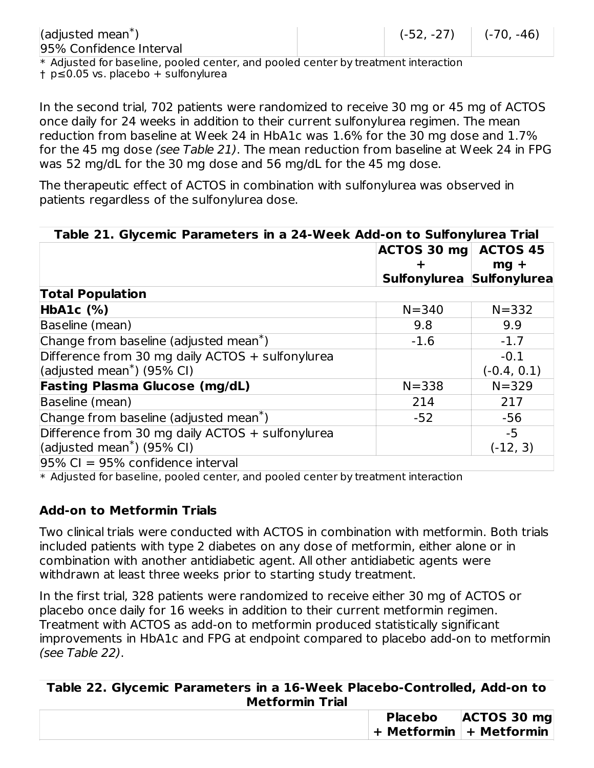$\hspace{0.1mm}^*$  Adjusted for baseline, pooled center, and pooled center by treatment interaction † p≤0.05 vs. placebo + sulfonylurea

In the second trial, 702 patients were randomized to receive 30 mg or 45 mg of ACTOS once daily for 24 weeks in addition to their current sulfonylurea regimen. The mean reduction from baseline at Week 24 in HbA1c was 1.6% for the 30 mg dose and 1.7% for the 45 mg dose (see Table 21). The mean reduction from baseline at Week 24 in FPG was 52 mg/dL for the 30 mg dose and 56 mg/dL for the 45 mg dose.

The therapeutic effect of ACTOS in combination with sulfonylurea was observed in patients regardless of the sulfonylurea dose.

| Table 21. Glycemic Parameters in a 24-Week Add-on to Sulfonylurea Trial |                           |               |  |  |
|-------------------------------------------------------------------------|---------------------------|---------------|--|--|
|                                                                         | ACTOS 30 mg ACTOS 45<br>┿ | $mg +$        |  |  |
|                                                                         | Sulfonylurea Sulfonylurea |               |  |  |
| <b>Total Population</b>                                                 |                           |               |  |  |
| $HbA1c$ (%)                                                             | $N = 340$                 | $N = 332$     |  |  |
| Baseline (mean)                                                         | 9.8                       | 9.9           |  |  |
| Change from baseline (adjusted mean <sup>*</sup> )                      | $-1.6$                    | $-1.7$        |  |  |
| Difference from 30 mg daily ACTOS + sulfonylurea                        |                           | $-0.1$        |  |  |
| (adjusted mean <sup>*</sup> ) (95% CI)                                  |                           | $(-0.4, 0.1)$ |  |  |
| <b>Fasting Plasma Glucose (mg/dL)</b>                                   | $N = 338$                 | $N = 329$     |  |  |
| Baseline (mean)                                                         | 214                       | 217           |  |  |
| Change from baseline (adjusted mean <sup>*</sup> )                      | $-52$                     | -56           |  |  |
| Difference from 30 mg daily ACTOS + sulfonylurea                        |                           | $-5$          |  |  |
| (adjusted mean <sup>*</sup> ) (95% CI)                                  |                           | $(-12, 3)$    |  |  |
| $ 95\% \text{ Cl} = 95\%$ confidence interval                           |                           |               |  |  |

 $\hspace{0.1mm}^*$  Adjusted for baseline, pooled center, and pooled center by treatment interaction

#### **Add-on to Metformin Trials**

Two clinical trials were conducted with ACTOS in combination with metformin. Both trials included patients with type 2 diabetes on any dose of metformin, either alone or in combination with another antidiabetic agent. All other antidiabetic agents were withdrawn at least three weeks prior to starting study treatment.

In the first trial, 328 patients were randomized to receive either 30 mg of ACTOS or placebo once daily for 16 weeks in addition to their current metformin regimen. Treatment with ACTOS as add-on to metformin produced statistically significant improvements in HbA1c and FPG at endpoint compared to placebo add-on to metformin (see Table 22).

| Table 22. Glycemic Parameters in a 16-Week Placebo-Controlled, Add-on to |  |  |  |  |
|--------------------------------------------------------------------------|--|--|--|--|
| <b>Metformin Trial</b>                                                   |  |  |  |  |
|                                                                          |  |  |  |  |

| <b>Placebo</b> | ACTOS 30 mg                 |
|----------------|-----------------------------|
|                | $+$ Metformin $+$ Metformin |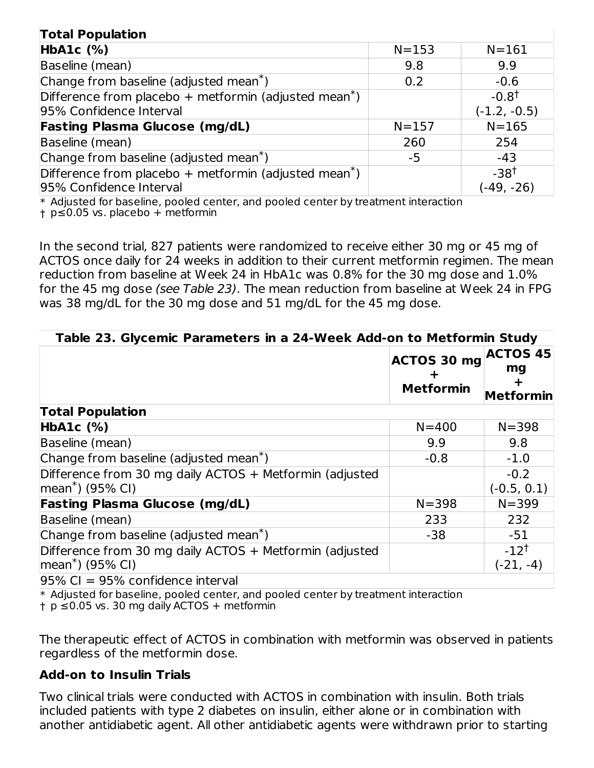| <b>Total Population</b>                                           |           |                |  |  |
|-------------------------------------------------------------------|-----------|----------------|--|--|
| $HbA1c$ (%)                                                       | $N = 153$ | $N = 161$      |  |  |
| Baseline (mean)                                                   | 9.8       | 9.9            |  |  |
| Change from baseline (adjusted mean <sup>*</sup> )                | 0.2       | $-0.6$         |  |  |
| Difference from placebo + metformin (adjusted mean <sup>*</sup> ) |           | $-0.8†$        |  |  |
| 95% Confidence Interval                                           |           | $(-1.2, -0.5)$ |  |  |
| <b>Fasting Plasma Glucose (mg/dL)</b>                             | $N = 157$ | $N = 165$      |  |  |
| Baseline (mean)                                                   | 260       | 254            |  |  |
| Change from baseline (adjusted mean <sup>*</sup> )                | -5        | $-43$          |  |  |
| Difference from placebo + metformin (adjusted mean <sup>*</sup> ) |           | $-38†$         |  |  |
| 95% Confidence Interval                                           |           | (-49, -26)     |  |  |

\* Adjusted for baseline, pooled center, and pooled center by treatment interaction

† p≤0.05 vs. placebo + metformin

In the second trial, 827 patients were randomized to receive either 30 mg or 45 mg of ACTOS once daily for 24 weeks in addition to their current metformin regimen. The mean reduction from baseline at Week 24 in HbA1c was 0.8% for the 30 mg dose and 1.0% for the 45 mg dose (see Table 23). The mean reduction from baseline at Week 24 in FPG was 38 mg/dL for the 30 mg dose and 51 mg/dL for the 45 mg dose.

| Table 23. Glycemic Parameters in a 24-Week Add-on to Metformin Study |                    |                       |  |  |
|----------------------------------------------------------------------|--------------------|-----------------------|--|--|
|                                                                      | <b>ACTOS 30 mg</b> | <b>ACTOS 45</b><br>mg |  |  |
|                                                                      | <b>Metformin</b>   | Metformin             |  |  |
| <b>Total Population</b>                                              |                    |                       |  |  |
| $HbA1c$ (%)                                                          | $N = 400$          | $N = 398$             |  |  |
| Baseline (mean)                                                      | 9.9                | 9.8                   |  |  |
| Change from baseline (adjusted mean <sup>*</sup> )                   | $-0.8$             | $-1.0$                |  |  |
| Difference from 30 mg daily ACTOS + Metformin (adjusted              |                    | $-0.2$                |  |  |
| $ mean^*$ ) (95% CI)                                                 |                    | $(-0.5, 0.1)$         |  |  |
| <b>Fasting Plasma Glucose (mg/dL)</b>                                | $N = 398$          | $N = 399$             |  |  |
| Baseline (mean)                                                      | 233                | 232                   |  |  |
| Change from baseline (adjusted mean <sup>*</sup> )                   | $-38$              | $-51$                 |  |  |
| Difference from 30 mg daily ACTOS + Metformin (adjusted              |                    | $-12^{+}$             |  |  |
| $ mean^*$ ) (95% CI)                                                 |                    | $(-21, -4)$           |  |  |
| 95% CI = 95% confidence interval                                     |                    |                       |  |  |

 $\hspace{0.1mm}^*$  Adjusted for baseline, pooled center, and pooled center by treatment interaction

† p ≤0.05 vs. 30 mg daily ACTOS + metformin

The therapeutic effect of ACTOS in combination with metformin was observed in patients regardless of the metformin dose.

#### **Add-on to Insulin Trials**

Two clinical trials were conducted with ACTOS in combination with insulin. Both trials included patients with type 2 diabetes on insulin, either alone or in combination with another antidiabetic agent. All other antidiabetic agents were withdrawn prior to starting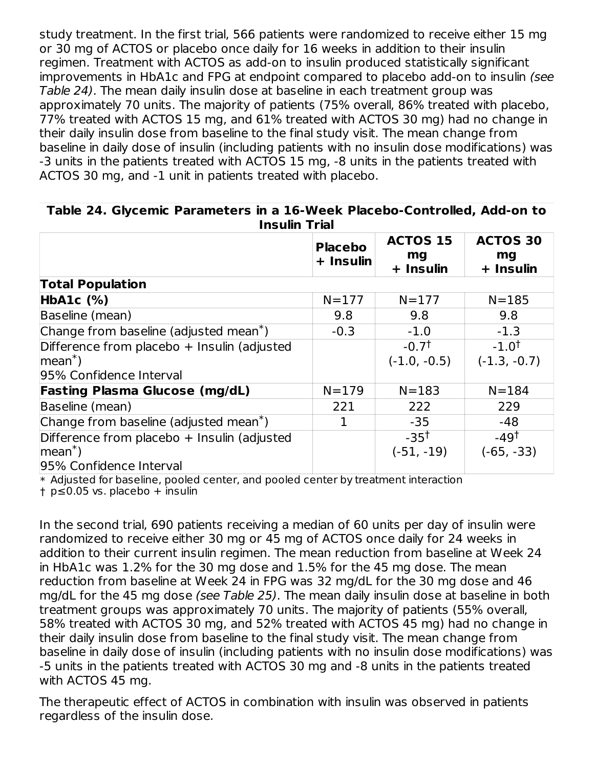study treatment. In the first trial, 566 patients were randomized to receive either 15 mg or 30 mg of ACTOS or placebo once daily for 16 weeks in addition to their insulin regimen. Treatment with ACTOS as add-on to insulin produced statistically significant improvements in HbA1c and FPG at endpoint compared to placebo add-on to insulin (see Table 24). The mean daily insulin dose at baseline in each treatment group was approximately 70 units. The majority of patients (75% overall, 86% treated with placebo, 77% treated with ACTOS 15 mg, and 61% treated with ACTOS 30 mg) had no change in their daily insulin dose from baseline to the final study visit. The mean change from baseline in daily dose of insulin (including patients with no insulin dose modifications) was -3 units in the patients treated with ACTOS 15 mg, -8 units in the patients treated with ACTOS 30 mg, and -1 unit in patients treated with placebo.

|  | Table 24. Glycemic Parameters in a 16-Week Placebo-Controlled, Add-on to |                      |  |  |
|--|--------------------------------------------------------------------------|----------------------|--|--|
|  |                                                                          | <b>Insulin Trial</b> |  |  |

|                                                                                      | <b>Placebo</b><br>+ Insulin | <b>ACTOS 15</b><br>mg<br>+ Insulin | <b>ACTOS 30</b><br>mg<br>+ Insulin |  |  |  |
|--------------------------------------------------------------------------------------|-----------------------------|------------------------------------|------------------------------------|--|--|--|
| <b>Total Population</b>                                                              |                             |                                    |                                    |  |  |  |
| $HbA1c$ (%)                                                                          | $N = 177$                   | $N = 177$                          | $N = 185$                          |  |  |  |
| Baseline (mean)                                                                      | 9.8                         | 9.8                                | 9.8                                |  |  |  |
| Change from baseline (adjusted mean <sup>*</sup> )                                   | $-0.3$                      | $-1.0$                             | $-1.3$                             |  |  |  |
| Difference from placebo + Insulin (adjusted<br>$ mean^*)$<br>95% Confidence Interval |                             | $-0.7†$<br>$(-1.0, -0.5)$          | $-1.0^{+}$<br>$(-1.3, -0.7)$       |  |  |  |
| <b>Fasting Plasma Glucose (mg/dL)</b>                                                | $N = 179$                   | $N = 183$                          | $N = 184$                          |  |  |  |
| Baseline (mean)                                                                      | 221                         | 222                                | 229                                |  |  |  |
| Change from baseline (adjusted mean <sup>*</sup> )                                   | 1                           | $-35$                              | $-48$                              |  |  |  |
| Difference from placebo + Insulin (adjusted<br>$ mean^*)$<br>95% Confidence Interval |                             | $-35^{\dagger}$<br>$(-51, -19)$    | $-49†$<br>$(-65, -33)$             |  |  |  |

 $\hspace{0.1mm}^*$  Adjusted for baseline, pooled center, and pooled center by treatment interaction

† p≤0.05 vs. placebo + insulin

In the second trial, 690 patients receiving a median of 60 units per day of insulin were randomized to receive either 30 mg or 45 mg of ACTOS once daily for 24 weeks in addition to their current insulin regimen. The mean reduction from baseline at Week 24 in HbA1c was 1.2% for the 30 mg dose and 1.5% for the 45 mg dose. The mean reduction from baseline at Week 24 in FPG was 32 mg/dL for the 30 mg dose and 46 mg/dL for the 45 mg dose (see Table 25). The mean daily insulin dose at baseline in both treatment groups was approximately 70 units. The majority of patients (55% overall, 58% treated with ACTOS 30 mg, and 52% treated with ACTOS 45 mg) had no change in their daily insulin dose from baseline to the final study visit. The mean change from baseline in daily dose of insulin (including patients with no insulin dose modifications) was -5 units in the patients treated with ACTOS 30 mg and -8 units in the patients treated with ACTOS 45 mg.

The therapeutic effect of ACTOS in combination with insulin was observed in patients regardless of the insulin dose.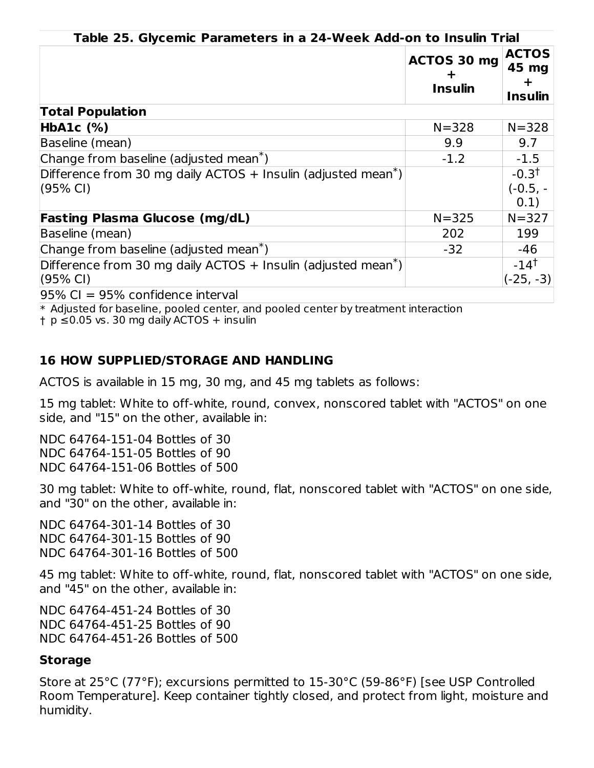| Table 25. Glycemic Parameters in a 24-Week Add-on to Insulin Trial                                |                               |                                         |  |
|---------------------------------------------------------------------------------------------------|-------------------------------|-----------------------------------------|--|
|                                                                                                   | ACTOS 30 mg<br><b>Insulin</b> | <b>ACTOS</b><br>45 mg<br><b>Insulin</b> |  |
| <b>Total Population</b>                                                                           |                               |                                         |  |
| $HbA1c$ (%)                                                                                       | $N = 328$                     | $N = 328$                               |  |
| Baseline (mean)                                                                                   | 9.9                           | 9.7                                     |  |
| Change from baseline (adjusted mean <sup>*</sup> )                                                | $-1.2$                        | $-1.5$                                  |  |
| Difference from 30 mg daily $ACTOS + Insulin$ (adjusted mean <sup>*</sup> )<br>$(95% \text{ Cl})$ |                               | $-0.3†$<br>$(-0.5, -$<br>0.1)           |  |
| <b>Fasting Plasma Glucose (mg/dL)</b>                                                             | $N = 325$                     | $N = 327$                               |  |
| Baseline (mean)                                                                                   | 202                           | 199                                     |  |
| Change from baseline (adjusted mean <sup>*</sup> )                                                | $-32$                         | $-46$                                   |  |
| Difference from 30 mg daily $ACTOS + Insulin$ (adjusted mean <sup>*</sup> )<br>$(95% \text{ Cl})$ |                               | $-14^{\dagger}$<br>$(-25, -3)$          |  |
| $95\%$ CI = 95% confidence interval                                                               |                               |                                         |  |

 $\hspace{0.1mm}^*$  Adjusted for baseline, pooled center, and pooled center by treatment interaction

† p ≤0.05 vs. 30 mg daily ACTOS + insulin

#### **16 HOW SUPPLIED/STORAGE AND HANDLING**

ACTOS is available in 15 mg, 30 mg, and 45 mg tablets as follows:

15 mg tablet: White to off-white, round, convex, nonscored tablet with "ACTOS" on one side, and "15" on the other, available in:

NDC 64764-151-04 Bottles of 30 NDC 64764-151-05 Bottles of 90 NDC 64764-151-06 Bottles of 500

30 mg tablet: White to off-white, round, flat, nonscored tablet with "ACTOS" on one side, and "30" on the other, available in:

NDC 64764-301-14 Bottles of 30 NDC 64764-301-15 Bottles of 90 NDC 64764-301-16 Bottles of 500

45 mg tablet: White to off-white, round, flat, nonscored tablet with "ACTOS" on one side, and "45" on the other, available in:

NDC 64764-451-24 Bottles of 30 NDC 64764-451-25 Bottles of 90 NDC 64764-451-26 Bottles of 500

#### **Storage**

Store at 25°C (77°F); excursions permitted to 15-30°C (59-86°F) [see USP Controlled Room Temperature]. Keep container tightly closed, and protect from light, moisture and humidity.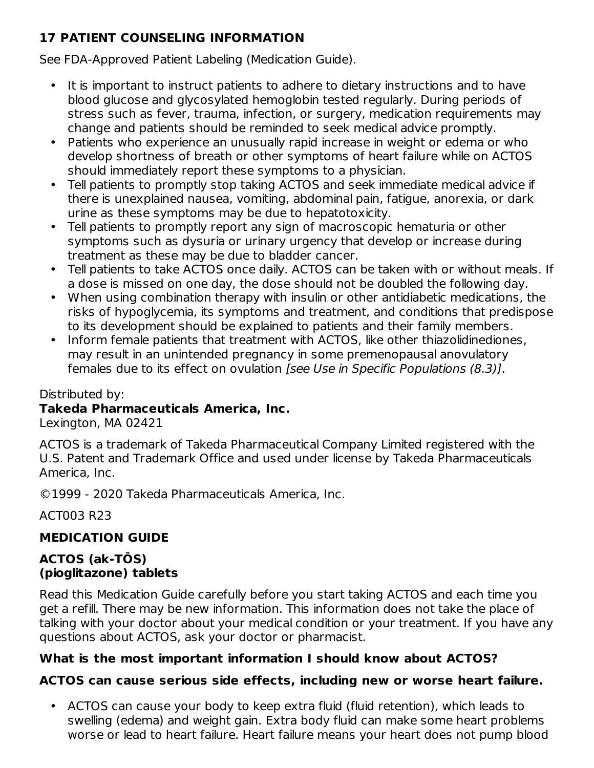#### **17 PATIENT COUNSELING INFORMATION**

See FDA-Approved Patient Labeling (Medication Guide).

- It is important to instruct patients to adhere to dietary instructions and to have blood glucose and glycosylated hemoglobin tested regularly. During periods of stress such as fever, trauma, infection, or surgery, medication requirements may change and patients should be reminded to seek medical advice promptly.
- Patients who experience an unusually rapid increase in weight or edema or who develop shortness of breath or other symptoms of heart failure while on ACTOS should immediately report these symptoms to a physician.
- Tell patients to promptly stop taking ACTOS and seek immediate medical advice if there is unexplained nausea, vomiting, abdominal pain, fatigue, anorexia, or dark urine as these symptoms may be due to hepatotoxicity.
- $\bullet$ Tell patients to promptly report any sign of macroscopic hematuria or other symptoms such as dysuria or urinary urgency that develop or increase during treatment as these may be due to bladder cancer.
- Tell patients to take ACTOS once daily. ACTOS can be taken with or without meals. If a dose is missed on one day, the dose should not be doubled the following day.
- When using combination therapy with insulin or other antidiabetic medications, the risks of hypoglycemia, its symptoms and treatment, and conditions that predispose to its development should be explained to patients and their family members.
- Inform female patients that treatment with ACTOS, like other thiazolidinediones, may result in an unintended pregnancy in some premenopausal anovulatory females due to its effect on ovulation [see Use in Specific Populations (8.3)].

#### Distributed by:

#### **Takeda Pharmaceuticals America, Inc.**

Lexington, MA 02421

ACTOS is a trademark of Takeda Pharmaceutical Company Limited registered with the U.S. Patent and Trademark Office and used under license by Takeda Pharmaceuticals America, Inc.

©1999 - 2020 Takeda Pharmaceuticals America, Inc.

ACT003 R23

#### **MEDICATION GUIDE**

#### **ACTOS (ak-TŌS) (pioglitazone) tablets**

Read this Medication Guide carefully before you start taking ACTOS and each time you get a refill. There may be new information. This information does not take the place of talking with your doctor about your medical condition or your treatment. If you have any questions about ACTOS, ask your doctor or pharmacist.

#### **What is the most important information I should know about ACTOS?**

#### **ACTOS can cause serious side effects, including new or worse heart failure.**

• ACTOS can cause your body to keep extra fluid (fluid retention), which leads to swelling (edema) and weight gain. Extra body fluid can make some heart problems worse or lead to heart failure. Heart failure means your heart does not pump blood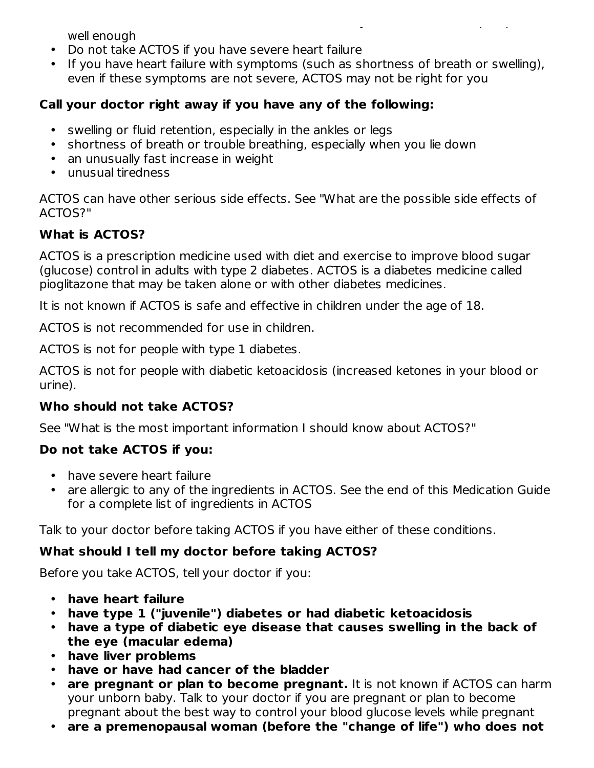well enough

- Do not take ACTOS if you have severe heart failure
- If you have heart failure with symptoms (such as shortness of breath or swelling), even if these symptoms are not severe, ACTOS may not be right for you

worse or lead to heart failure. Heart failure means your heart failure means your heart does not pump blood to

#### **Call your doctor right away if you have any of the following:**

- swelling or fluid retention, especially in the ankles or legs
- shortness of breath or trouble breathing, especially when you lie down
- an unusually fast increase in weight
- unusual tiredness

ACTOS can have other serious side effects. See "What are the possible side effects of ACTOS?"

#### **What is ACTOS?**

ACTOS is a prescription medicine used with diet and exercise to improve blood sugar (glucose) control in adults with type 2 diabetes. ACTOS is a diabetes medicine called pioglitazone that may be taken alone or with other diabetes medicines.

It is not known if ACTOS is safe and effective in children under the age of 18.

ACTOS is not recommended for use in children.

ACTOS is not for people with type 1 diabetes.

ACTOS is not for people with diabetic ketoacidosis (increased ketones in your blood or urine).

#### **Who should not take ACTOS?**

See "What is the most important information I should know about ACTOS?"

#### **Do not take ACTOS if you:**

- have severe heart failure
- are allergic to any of the ingredients in ACTOS. See the end of this Medication Guide for a complete list of ingredients in ACTOS

Talk to your doctor before taking ACTOS if you have either of these conditions.

#### **What should I tell my doctor before taking ACTOS?**

Before you take ACTOS, tell your doctor if you:

- **have heart failure**
- **have type 1 ("juvenile") diabetes or had diabetic ketoacidosis**
- **have a type of diabetic eye disease that causes swelling in the back of the eye (macular edema)**
- **have liver problems**
- **have or have had cancer of the bladder**
- **are pregnant or plan to become pregnant.** It is not known if ACTOS can harm your unborn baby. Talk to your doctor if you are pregnant or plan to become pregnant about the best way to control your blood glucose levels while pregnant
- **are a premenopausal woman (before the "change of life") who does not**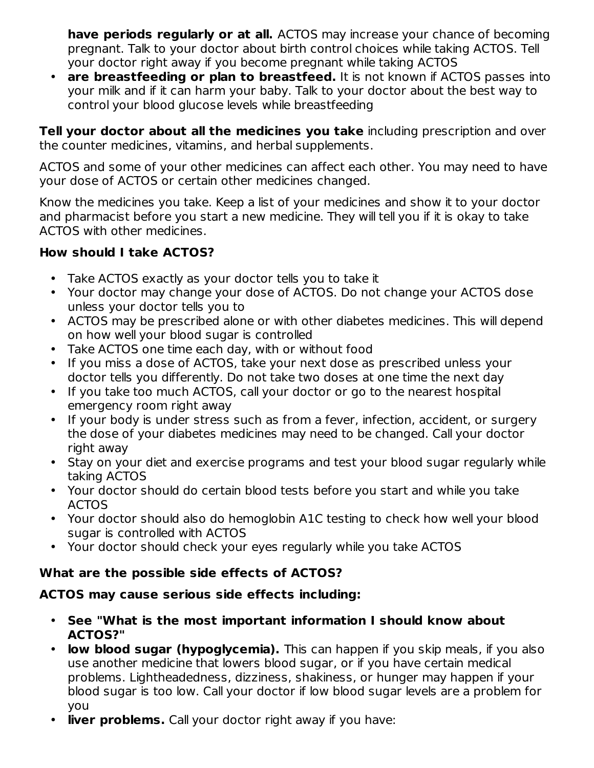**have periods regularly or at all.** ACTOS may increase your chance of becoming pregnant. Talk to your doctor about birth control choices while taking ACTOS. Tell your doctor right away if you become pregnant while taking ACTOS

• **are breastfeeding or plan to breastfeed.** It is not known if ACTOS passes into your milk and if it can harm your baby. Talk to your doctor about the best way to control your blood glucose levels while breastfeeding

**Tell your doctor about all the medicines you take** including prescription and over the counter medicines, vitamins, and herbal supplements.

ACTOS and some of your other medicines can affect each other. You may need to have your dose of ACTOS or certain other medicines changed.

Know the medicines you take. Keep a list of your medicines and show it to your doctor and pharmacist before you start a new medicine. They will tell you if it is okay to take ACTOS with other medicines.

#### **How should I take ACTOS?**

- Take ACTOS exactly as your doctor tells you to take it
- Your doctor may change your dose of ACTOS. Do not change your ACTOS dose unless your doctor tells you to
- ACTOS may be prescribed alone or with other diabetes medicines. This will depend on how well your blood sugar is controlled
- Take ACTOS one time each day, with or without food
- If you miss a dose of ACTOS, take your next dose as prescribed unless your doctor tells you differently. Do not take two doses at one time the next day
- If you take too much ACTOS, call your doctor or go to the nearest hospital emergency room right away
- If your body is under stress such as from a fever, infection, accident, or surgery the dose of your diabetes medicines may need to be changed. Call your doctor right away
- Stay on your diet and exercise programs and test your blood sugar regularly while taking ACTOS
- Your doctor should do certain blood tests before you start and while you take ACTOS
- Your doctor should also do hemoglobin A1C testing to check how well your blood sugar is controlled with ACTOS
- Your doctor should check your eyes regularly while you take ACTOS

#### **What are the possible side effects of ACTOS?**

#### **ACTOS may cause serious side effects including:**

- **See "What is the most important information I should know about ACTOS?"**
- **low blood sugar (hypoglycemia).** This can happen if you skip meals, if you also use another medicine that lowers blood sugar, or if you have certain medical problems. Lightheadedness, dizziness, shakiness, or hunger may happen if your blood sugar is too low. Call your doctor if low blood sugar levels are a problem for you
- **liver problems.** Call your doctor right away if you have: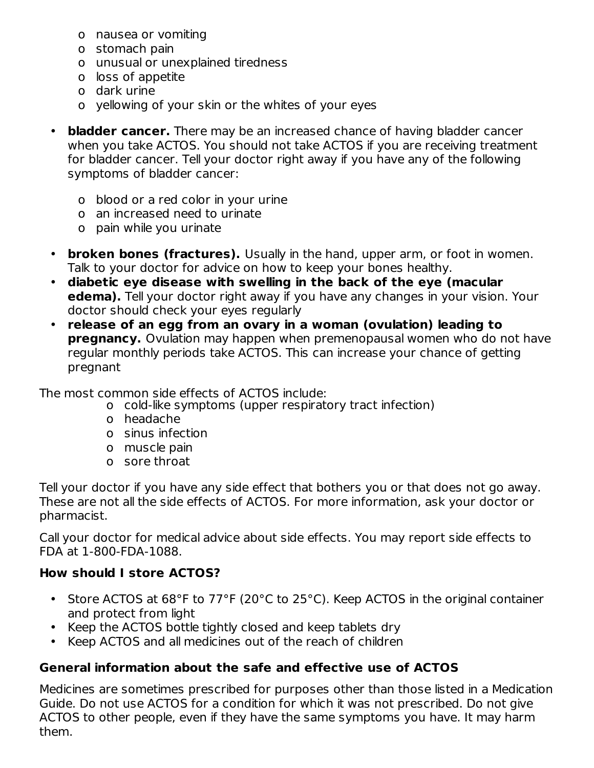- o nausea or vomiting
- o stomach pain
- o unusual or unexplained tiredness
- o loss of appetite
- o dark urine
- o yellowing of your skin or the whites of your eyes
- **bladder cancer.** There may be an increased chance of having bladder cancer when you take ACTOS. You should not take ACTOS if you are receiving treatment for bladder cancer. Tell your doctor right away if you have any of the following symptoms of bladder cancer:
	- o blood or a red color in your urine
	- o an increased need to urinate
	- o pain while you urinate
- **broken bones (fractures).** Usually in the hand, upper arm, or foot in women. Talk to your doctor for advice on how to keep your bones healthy.
- **diabetic eye disease with swelling in the back of the eye (macular edema).** Tell your doctor right away if you have any changes in your vision. Your doctor should check your eyes regularly
- **release of an egg from an ovary in a woman (ovulation) leading to pregnancy.** Ovulation may happen when premenopausal women who do not have regular monthly periods take ACTOS. This can increase your chance of getting pregnant

The most common side effects of ACTOS include:

- o cold-like symptoms (upper respiratory tract infection)
- o headache
- o sinus infection
- o muscle pain
- o sore throat

Tell your doctor if you have any side effect that bothers you or that does not go away. These are not all the side effects of ACTOS. For more information, ask your doctor or pharmacist.

Call your doctor for medical advice about side effects. You may report side effects to FDA at 1-800-FDA-1088.

#### **How should I store ACTOS?**

- Store ACTOS at 68°F to 77°F (20°C to 25°C). Keep ACTOS in the original container and protect from light
- Keep the ACTOS bottle tightly closed and keep tablets dry
- Keep ACTOS and all medicines out of the reach of children

#### **General information about the safe and effective use of ACTOS**

Medicines are sometimes prescribed for purposes other than those listed in a Medication Guide. Do not use ACTOS for a condition for which it was not prescribed. Do not give ACTOS to other people, even if they have the same symptoms you have. It may harm them.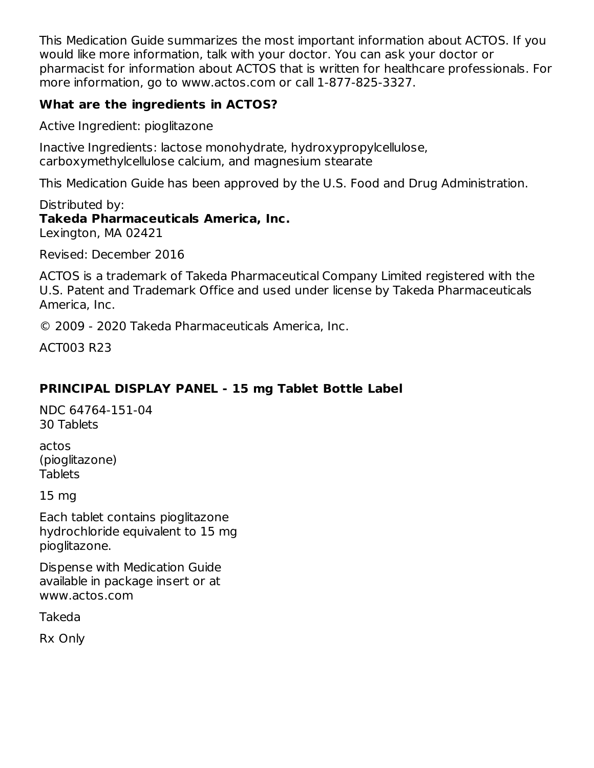This Medication Guide summarizes the most important information about ACTOS. If you would like more information, talk with your doctor. You can ask your doctor or pharmacist for information about ACTOS that is written for healthcare professionals. For more information, go to www.actos.com or call 1-877-825-3327.

#### **What are the ingredients in ACTOS?**

Active Ingredient: pioglitazone

Inactive Ingredients: lactose monohydrate, hydroxypropylcellulose, carboxymethylcellulose calcium, and magnesium stearate

This Medication Guide has been approved by the U.S. Food and Drug Administration.

Distributed by: **Takeda Pharmaceuticals America, Inc.** Lexington, MA 02421

Revised: December 2016

ACTOS is a trademark of Takeda Pharmaceutical Company Limited registered with the U.S. Patent and Trademark Office and used under license by Takeda Pharmaceuticals America, Inc.

© 2009 - 2020 Takeda Pharmaceuticals America, Inc.

ACT003 R23

# **PRINCIPAL DISPLAY PANEL - 15 mg Tablet Bottle Label**

NDC 64764-151-04 30 Tablets

actos (pioglitazone) **Tablets** 

15 mg

Each tablet contains pioglitazone hydrochloride equivalent to 15 mg pioglitazone.

Dispense with Medication Guide available in package insert or at www.actos.com

Takeda

Rx Only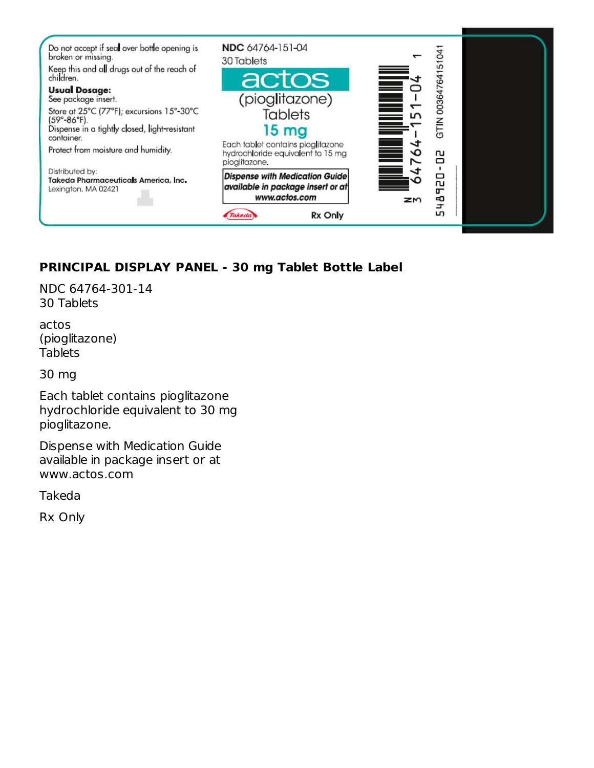

#### **PRINCIPAL DISPLAY PANEL - 30 mg Tablet Bottle Label**

NDC 64764-301-14 30 Tablets

actos (pioglitazone) **Tablets** 

30 mg

Each tablet contains pioglitazone hydrochloride equivalent to 30 mg pioglitazone.

Dispense with Medication Guide available in package insert or at www.actos.com

Takeda

Rx Only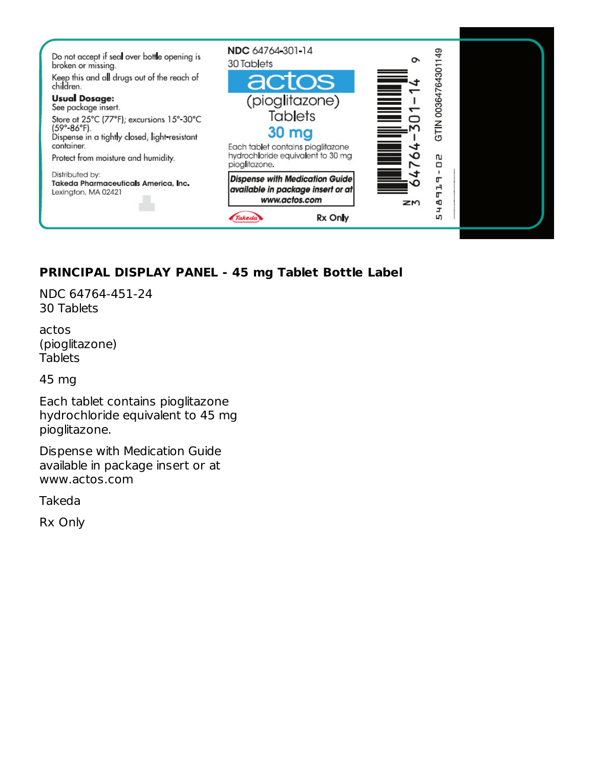

#### **PRINCIPAL DISPLAY PANEL - 45 mg Tablet Bottle Label**

NDC 64764-451-24 30 Tablets

actos (pioglitazone) **Tablets** 

45 mg

Each tablet contains pioglitazone hydrochloride equivalent to 45 mg pioglitazone.

Dispense with Medication Guide available in package insert or at www.actos.com

Takeda

Rx Only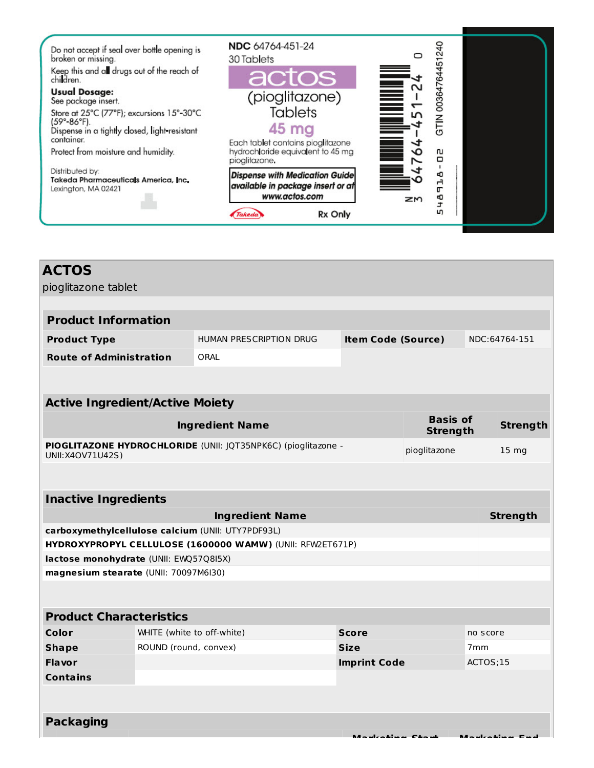

| <b>ACTOS</b><br>pioglitazone tablet                                                                |                            |                                                           |                           |                                    |                   |                 |
|----------------------------------------------------------------------------------------------------|----------------------------|-----------------------------------------------------------|---------------------------|------------------------------------|-------------------|-----------------|
|                                                                                                    |                            |                                                           |                           |                                    |                   |                 |
| <b>Product Information</b>                                                                         |                            |                                                           |                           |                                    |                   |                 |
| <b>Product Type</b>                                                                                |                            | <b>HUMAN PRESCRIPTION DRUG</b>                            | <b>Item Code (Source)</b> |                                    |                   | NDC:64764-151   |
| <b>Route of Administration</b>                                                                     |                            | ORAL                                                      |                           |                                    |                   |                 |
|                                                                                                    |                            |                                                           |                           |                                    |                   |                 |
| <b>Active Ingredient/Active Moiety</b>                                                             |                            |                                                           |                           |                                    |                   |                 |
|                                                                                                    |                            | <b>Ingredient Name</b>                                    |                           | <b>Basis of</b><br><b>Strength</b> |                   | <b>Strength</b> |
| PIOGLITAZONE HYDROCHLORIDE (UNII: JQT35NPK6C) (pioglitazone -<br>pioglitazone<br>UNII: X40V71U42S) |                            |                                                           |                           | 15 <sub>mg</sub>                   |                   |                 |
|                                                                                                    |                            |                                                           |                           |                                    |                   |                 |
| <b>Inactive Ingredients</b>                                                                        |                            |                                                           |                           |                                    |                   |                 |
|                                                                                                    |                            | <b>Ingredient Name</b>                                    |                           |                                    |                   | <b>Strength</b> |
| carboxymethylcellulose calcium (UNII: UTY7PDF93L)                                                  |                            |                                                           |                           |                                    |                   |                 |
|                                                                                                    |                            | HYDROXYPROPYL CELLULOSE (1600000 WAMW) (UNII: RFW2ET671P) |                           |                                    |                   |                 |
| lactose monohydrate (UNII: EWQ57Q8I5X)                                                             |                            |                                                           |                           |                                    |                   |                 |
| magnesium stearate (UNII: 70097M6I30)                                                              |                            |                                                           |                           |                                    |                   |                 |
|                                                                                                    |                            |                                                           |                           |                                    |                   |                 |
| <b>Product Characteristics</b>                                                                     |                            |                                                           |                           |                                    |                   |                 |
| Color                                                                                              | WHITE (white to off-white) |                                                           | <b>Score</b>              |                                    | no score          |                 |
| <b>Shape</b>                                                                                       | ROUND (round, convex)      |                                                           | <b>Size</b>               |                                    | 7 <sub>mm</sub>   |                 |
| <b>Flavor</b>                                                                                      |                            |                                                           | <b>Imprint Code</b>       |                                    | ACTOS;15          |                 |
| <b>Contains</b>                                                                                    |                            |                                                           |                           |                                    |                   |                 |
|                                                                                                    |                            |                                                           |                           |                                    |                   |                 |
| <b>Packaging</b>                                                                                   |                            |                                                           |                           |                                    |                   |                 |
|                                                                                                    |                            |                                                           | Monketing Ctash           |                                    | $M = rI \cdot rI$ |                 |
|                                                                                                    |                            |                                                           |                           |                                    |                   |                 |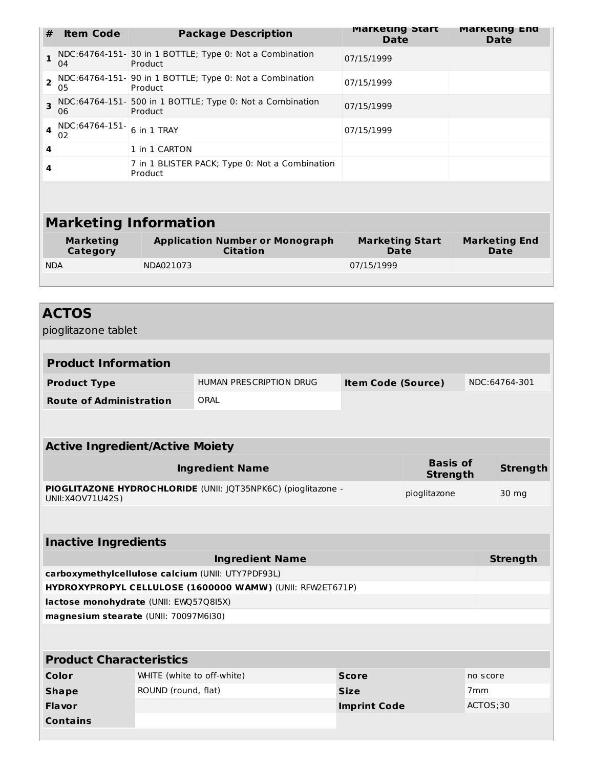| #              | <b>Item Code</b>                                                                        | <b>Package Description</b>                                           | <b>Marketing Start</b><br>Date | <b>Marketing End</b><br>Date        |
|----------------|-----------------------------------------------------------------------------------------|----------------------------------------------------------------------|--------------------------------|-------------------------------------|
| $\mathbf{1}$   | NDC:64764-151- 30 in 1 BOTTLE; Type 0: Not a Combination<br>07/15/1999<br>04<br>Product |                                                                      |                                |                                     |
| $\overline{2}$ | 05                                                                                      | NDC:64764-151- 90 in 1 BOTTLE; Type 0: Not a Combination<br>Product  | 07/15/1999                     |                                     |
| 3              | 06                                                                                      | NDC:64764-151- 500 in 1 BOTTLE; Type 0: Not a Combination<br>Product | 07/15/1999                     |                                     |
| 4              | NDC:64764-151-<br>02                                                                    | 6 in 1 TRAY                                                          | 07/15/1999                     |                                     |
| 4              |                                                                                         | 1 in 1 CARTON                                                        |                                |                                     |
| 4              | 7 in 1 BLISTER PACK; Type 0: Not a Combination<br>Product                               |                                                                      |                                |                                     |
|                |                                                                                         |                                                                      |                                |                                     |
|                |                                                                                         | <b>Marketing Information</b>                                         |                                |                                     |
|                | <b>Marketing</b><br><b>Category</b>                                                     | <b>Application Number or Monograph</b><br><b>Citation</b>            | <b>Marketing Start</b><br>Date | <b>Marketing End</b><br><b>Date</b> |
| <b>NDA</b>     |                                                                                         | NDA021073                                                            | 07/15/1999                     |                                     |
|                |                                                                                         |                                                                      |                                |                                     |
|                |                                                                                         |                                                                      |                                |                                     |

# **ACTOS**

pioglitazone tablet

| <b>Product Information</b>                        |                            |                                                               |                           |                                    |                 |                 |
|---------------------------------------------------|----------------------------|---------------------------------------------------------------|---------------------------|------------------------------------|-----------------|-----------------|
| <b>Product Type</b>                               |                            | HUMAN PRESCRIPTION DRUG                                       | <b>Item Code (Source)</b> |                                    |                 | NDC:64764-301   |
| <b>Route of Administration</b>                    |                            | ORAL                                                          |                           |                                    |                 |                 |
|                                                   |                            |                                                               |                           |                                    |                 |                 |
| <b>Active Ingredient/Active Moiety</b>            |                            |                                                               |                           |                                    |                 |                 |
|                                                   |                            | <b>Ingredient Name</b>                                        |                           | <b>Basis of</b><br><b>Strength</b> |                 | <b>Strength</b> |
| UNII: X40V71U42S)                                 |                            | PIOGLITAZONE HYDROCHLORIDE (UNII: JQT35NPK6C) (pioglitazone - |                           | pioglitazone                       |                 | 30 mg           |
|                                                   |                            |                                                               |                           |                                    |                 |                 |
| <b>Inactive Ingredients</b>                       |                            |                                                               |                           |                                    |                 |                 |
|                                                   |                            | <b>Ingredient Name</b>                                        |                           |                                    |                 | <b>Strength</b> |
| carboxymethylcellulose calcium (UNII: UTY7PDF93L) |                            |                                                               |                           |                                    |                 |                 |
|                                                   |                            | HYDROXYPROPYL CELLULOSE (1600000 WAMW) (UNII: RFW2ET671P)     |                           |                                    |                 |                 |
| lactose monohydrate (UNII: EWQ57Q8I5X)            |                            |                                                               |                           |                                    |                 |                 |
| magnesium stearate (UNII: 70097M6I30)             |                            |                                                               |                           |                                    |                 |                 |
|                                                   |                            |                                                               |                           |                                    |                 |                 |
| <b>Product Characteristics</b>                    |                            |                                                               |                           |                                    |                 |                 |
| Color                                             | WHITE (white to off-white) |                                                               | <b>Score</b>              |                                    | no score        |                 |
| <b>Shape</b>                                      | ROUND (round, flat)        |                                                               | <b>Size</b>               |                                    | 7 <sub>mm</sub> |                 |
| <b>Flavor</b>                                     |                            |                                                               | <b>Imprint Code</b>       |                                    | ACTOS;30        |                 |
| <b>Contains</b>                                   |                            |                                                               |                           |                                    |                 |                 |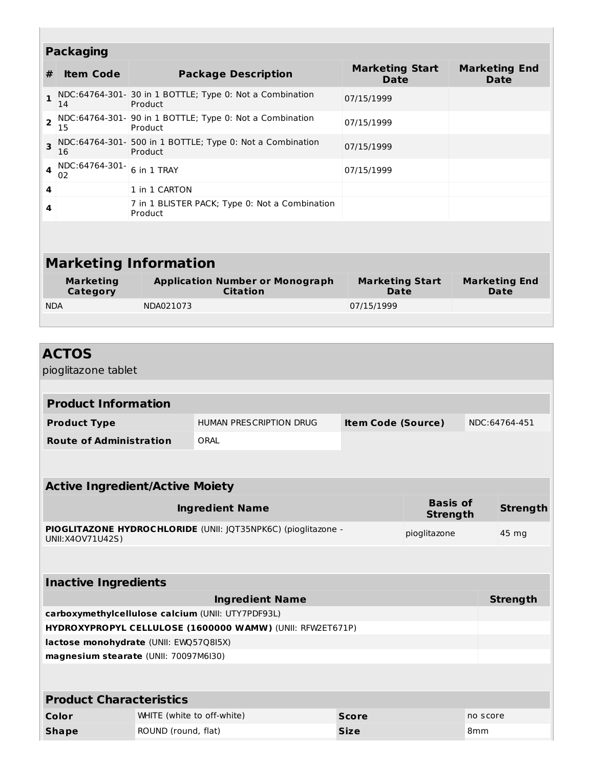|                | <b>Packaging</b>             |                                                                      |                                       |                                     |
|----------------|------------------------------|----------------------------------------------------------------------|---------------------------------------|-------------------------------------|
| #              | <b>Item Code</b>             | <b>Package Description</b>                                           | <b>Marketing Start</b><br><b>Date</b> | <b>Marketing End</b><br><b>Date</b> |
| 1              | 14                           | NDC:64764-301- 30 in 1 BOTTLE; Type 0: Not a Combination<br>Product  | 07/15/1999                            |                                     |
| $\overline{2}$ | 15                           | NDC:64764-301- 90 in 1 BOTTLE; Type 0: Not a Combination<br>Product  | 07/15/1999                            |                                     |
| 3              | 16                           | NDC:64764-301- 500 in 1 BOTTLE; Type 0: Not a Combination<br>Product | 07/15/1999                            |                                     |
| 4              | NDC:64764-301-<br>02         | 6 in 1 TRAY                                                          | 07/15/1999                            |                                     |
| 4              |                              | 1 in 1 CARTON                                                        |                                       |                                     |
| 4              |                              | 7 in 1 BLISTER PACK; Type 0: Not a Combination<br>Product            |                                       |                                     |
|                |                              |                                                                      |                                       |                                     |
|                |                              | <b>Marketing Information</b>                                         |                                       |                                     |
|                | <b>Marketing</b><br>Category | <b>Application Number or Monograph</b><br><b>Citation</b>            | <b>Marketing Start</b><br>Date        | <b>Marketing End</b><br>Date        |
| <b>NDA</b>     |                              | NDA021073                                                            | 07/15/1999                            |                                     |
|                |                              |                                                                      |                                       |                                     |
|                |                              |                                                                      |                                       |                                     |
|                | <b>ACTOS</b>                 |                                                                      |                                       |                                     |

U.

pioglitazone tablet

| <b>Product Information</b>     |                         |                           |               |  |  |
|--------------------------------|-------------------------|---------------------------|---------------|--|--|
| <b>Product Type</b>            | HUMAN PRESCRIPTION DRUG | <b>Item Code (Source)</b> | NDC:64764-451 |  |  |
| <b>Route of Administration</b> | ORAL                    |                           |               |  |  |

| <b>Active Ingredient/Active Moiety</b>                                                             |                            |              |  |                                    |                 |  |  |  |
|----------------------------------------------------------------------------------------------------|----------------------------|--------------|--|------------------------------------|-----------------|--|--|--|
|                                                                                                    | <b>Ingredient Name</b>     |              |  | <b>Basis of</b><br><b>Strength</b> | <b>Strength</b> |  |  |  |
| PIOGLITAZONE HYDROCHLORIDE (UNII: JQT35NPK6C) (pioglitazone -<br>pioglitazone<br>UNII: X40V71U42S) |                            |              |  |                                    | 45 mg           |  |  |  |
|                                                                                                    |                            |              |  |                                    |                 |  |  |  |
| <b>Inactive Ingredients</b>                                                                        |                            |              |  |                                    |                 |  |  |  |
| <b>Ingredient Name</b>                                                                             |                            |              |  |                                    | <b>Strength</b> |  |  |  |
| carboxymethylcellulose calcium (UNII: UTY7PDF93L)                                                  |                            |              |  |                                    |                 |  |  |  |
| HYDROXYPROPYL CELLULOSE (1600000 WAMW) (UNII: RFW2ET671P)                                          |                            |              |  |                                    |                 |  |  |  |
| lactose monohydrate (UNII: EWQ57Q8I5X)                                                             |                            |              |  |                                    |                 |  |  |  |
| magnesium stearate (UNII: 70097M6I30)                                                              |                            |              |  |                                    |                 |  |  |  |
|                                                                                                    |                            |              |  |                                    |                 |  |  |  |
| <b>Product Characteristics</b>                                                                     |                            |              |  |                                    |                 |  |  |  |
| Color                                                                                              | WHITE (white to off-white) | <b>Score</b> |  | no score                           |                 |  |  |  |
| <b>Shape</b>                                                                                       | ROUND (round, flat)        | <b>Size</b>  |  | 8 <sub>mm</sub>                    |                 |  |  |  |